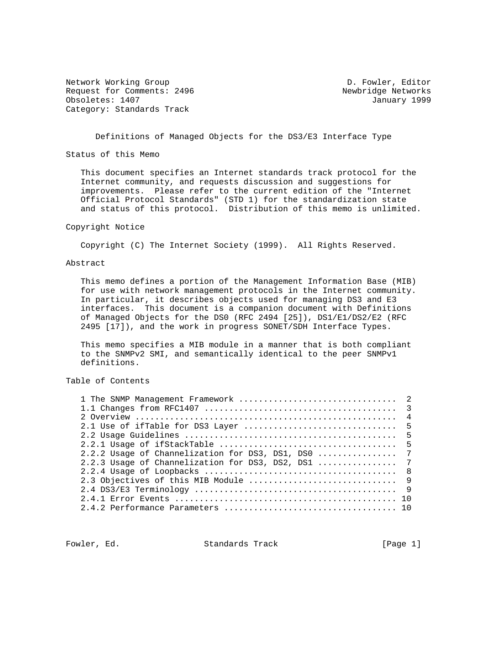Network Working Group **D. Fowler, Editor** Request for Comments: 2496 Newbridge Networks<br>
Obsoletes: 1407 January 1999 Obsoletes: 1407 Category: Standards Track

Definitions of Managed Objects for the DS3/E3 Interface Type

Status of this Memo

 This document specifies an Internet standards track protocol for the Internet community, and requests discussion and suggestions for improvements. Please refer to the current edition of the "Internet Official Protocol Standards" (STD 1) for the standardization state and status of this protocol. Distribution of this memo is unlimited.

# Copyright Notice

Copyright (C) The Internet Society (1999). All Rights Reserved.

### Abstract

 This memo defines a portion of the Management Information Base (MIB) for use with network management protocols in the Internet community. In particular, it describes objects used for managing DS3 and E3 interfaces. This document is a companion document with Definitions of Managed Objects for the DS0 (RFC 2494 [25]), DS1/E1/DS2/E2 (RFC 2495 [17]), and the work in progress SONET/SDH Interface Types.

 This memo specifies a MIB module in a manner that is both compliant to the SNMPv2 SMI, and semantically identical to the peer SNMPv1 definitions.

## Table of Contents

| 2.2.2 Usage of Channelization for DS3, DS1, DS0  7 |  |
|----------------------------------------------------|--|
| 2.2.3 Usaqe of Channelization for DS3, DS2, DS1  7 |  |
|                                                    |  |
|                                                    |  |
|                                                    |  |
|                                                    |  |
|                                                    |  |
|                                                    |  |

Fowler, Ed. Standards Track [Page 1]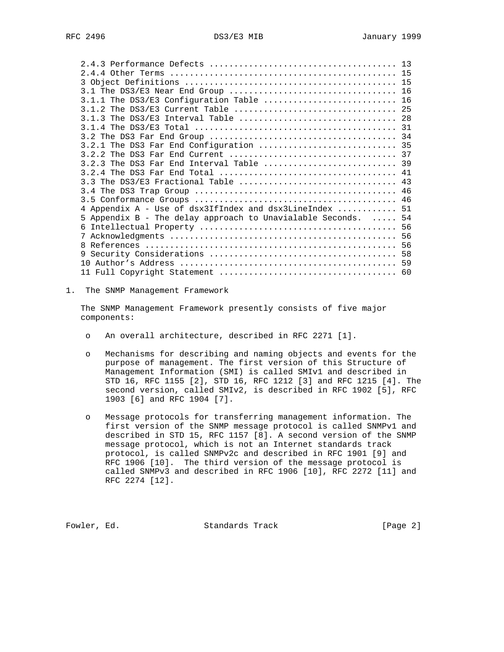| $3.1.1$ The DS3/E3 Configuration Table  16                    |  |
|---------------------------------------------------------------|--|
|                                                               |  |
|                                                               |  |
|                                                               |  |
|                                                               |  |
| 3.2.1 The DS3 Far End Configuration  35                       |  |
|                                                               |  |
| 3.2.3 The DS3 Far End Interval Table  39                      |  |
|                                                               |  |
| 3.3 The DS3/E3 Fractional Table  43                           |  |
|                                                               |  |
|                                                               |  |
| 4 Appendix A - Use of dsx3IfIndex and dsx3LineIndex  51       |  |
| 5 Appendix B - The delay approach to Unavialable Seconds.  54 |  |
|                                                               |  |
|                                                               |  |
|                                                               |  |
| 9                                                             |  |
|                                                               |  |
|                                                               |  |

1. The SNMP Management Framework

 The SNMP Management Framework presently consists of five major components:

- o An overall architecture, described in RFC 2271 [1].
- o Mechanisms for describing and naming objects and events for the purpose of management. The first version of this Structure of Management Information (SMI) is called SMIv1 and described in STD 16, RFC 1155 [2], STD 16, RFC 1212 [3] and RFC 1215 [4]. The second version, called SMIv2, is described in RFC 1902 [5], RFC 1903 [6] and RFC 1904 [7].
- o Message protocols for transferring management information. The first version of the SNMP message protocol is called SNMPv1 and described in STD 15, RFC 1157 [8]. A second version of the SNMP message protocol, which is not an Internet standards track protocol, is called SNMPv2c and described in RFC 1901 [9] and RFC 1906 [10]. The third version of the message protocol is called SNMPv3 and described in RFC 1906 [10], RFC 2272 [11] and RFC 2274 [12].

Fowler, Ed. Standards Track [Page 2]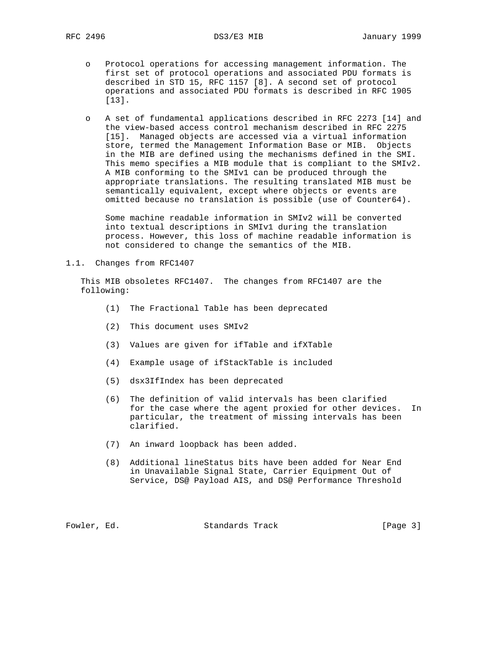- o Protocol operations for accessing management information. The first set of protocol operations and associated PDU formats is described in STD 15, RFC 1157 [8]. A second set of protocol operations and associated PDU formats is described in RFC 1905 [13].
- o A set of fundamental applications described in RFC 2273 [14] and the view-based access control mechanism described in RFC 2275 [15]. Managed objects are accessed via a virtual information store, termed the Management Information Base or MIB. Objects in the MIB are defined using the mechanisms defined in the SMI. This memo specifies a MIB module that is compliant to the SMIv2. A MIB conforming to the SMIv1 can be produced through the appropriate translations. The resulting translated MIB must be semantically equivalent, except where objects or events are omitted because no translation is possible (use of Counter64).

 Some machine readable information in SMIv2 will be converted into textual descriptions in SMIv1 during the translation process. However, this loss of machine readable information is not considered to change the semantics of the MIB.

1.1. Changes from RFC1407

 This MIB obsoletes RFC1407. The changes from RFC1407 are the following:

- (1) The Fractional Table has been deprecated
- (2) This document uses SMIv2
- (3) Values are given for ifTable and ifXTable
- (4) Example usage of ifStackTable is included
- (5) dsx3IfIndex has been deprecated
- (6) The definition of valid intervals has been clarified for the case where the agent proxied for other devices. In particular, the treatment of missing intervals has been clarified.
- (7) An inward loopback has been added.
- (8) Additional lineStatus bits have been added for Near End in Unavailable Signal State, Carrier Equipment Out of Service, DS@ Payload AIS, and DS@ Performance Threshold

Fowler, Ed. Standards Track [Page 3]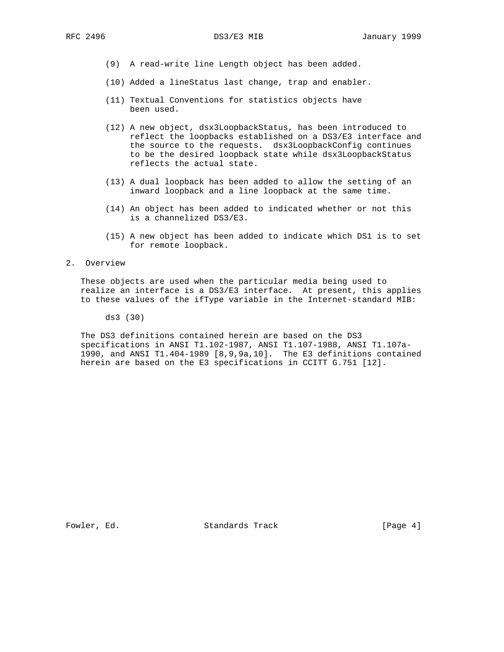- (9) A read-write line Length object has been added.
- (10) Added a lineStatus last change, trap and enabler.
- (11) Textual Conventions for statistics objects have been used.
- (12) A new object, dsx3LoopbackStatus, has been introduced to reflect the loopbacks established on a DS3/E3 interface and the source to the requests. dsx3LoopbackConfig continues to be the desired loopback state while dsx3LoopbackStatus reflects the actual state.
- (13) A dual loopback has been added to allow the setting of an inward loopback and a line loopback at the same time.
- (14) An object has been added to indicated whether or not this is a channelized DS3/E3.
- (15) A new object has been added to indicate which DS1 is to set for remote loopback.

#### 2. Overview

 These objects are used when the particular media being used to realize an interface is a DS3/E3 interface. At present, this applies to these values of the ifType variable in the Internet-standard MIB:

ds3 (30)

 The DS3 definitions contained herein are based on the DS3 specifications in ANSI T1.102-1987, ANSI T1.107-1988, ANSI T1.107a- 1990, and ANSI T1.404-1989 [8,9,9a,10]. The E3 definitions contained herein are based on the E3 specifications in CCITT G.751 [12].

Fowler, Ed. Standards Track [Page 4]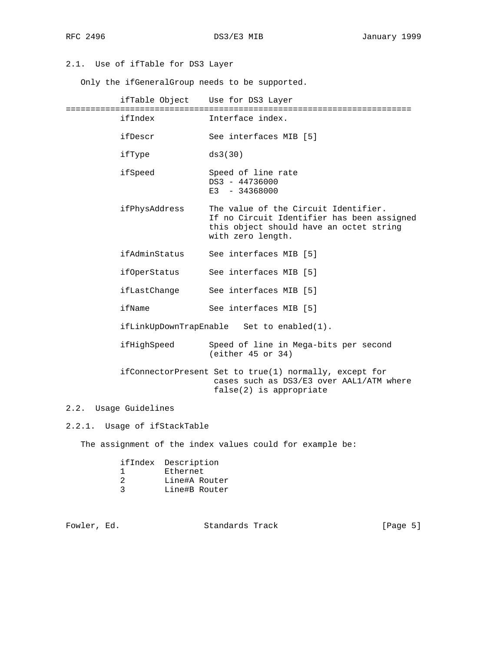2.1. Use of ifTable for DS3 Layer

Only the ifGeneralGroup needs to be supported.

 ifTable Object Use for DS3 Layer ====================================================================== ifIndex Interface index. ifDescr See interfaces MIB [5] ifType ds3(30) ifSpeed Speed of line rate DS3 - 44736000 E3 - 34368000 ifPhysAddress The value of the Circuit Identifier. If no Circuit Identifier has been assigned this object should have an octet string with zero length. ifAdminStatus See interfaces MIB [5] ifOperStatus See interfaces MIB [5] ifLastChange See interfaces MIB [5] ifName See interfaces MIB [5] ifLinkUpDownTrapEnable Set to enabled(1). ifHighSpeed Speed of line in Mega-bits per second (either 45 or 34) ifConnectorPresent Set to true(1) normally, except for cases such as DS3/E3 over AAL1/ATM where false(2) is appropriate

## 2.2. Usage Guidelines

2.2.1. Usage of ifStackTable

The assignment of the index values could for example be:

|  | ifIndex Description |  |
|--|---------------------|--|
|  | Ethernet            |  |
|  | Line#A Router       |  |
|  | Line#B Router       |  |

Fowler, Ed. Standards Track [Page 5]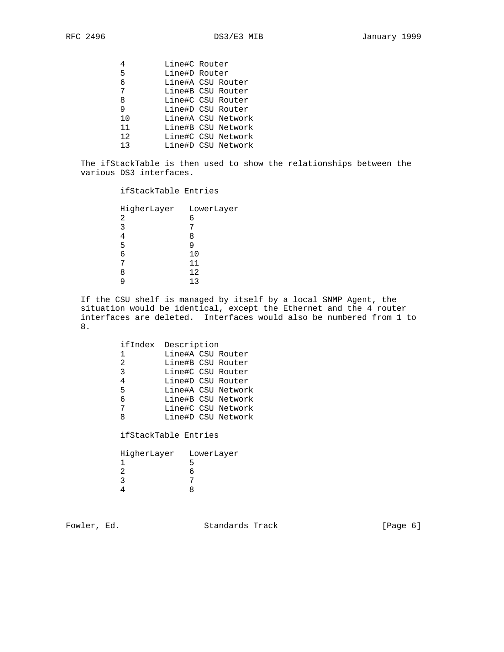| Line#C Router      |
|--------------------|
| Line#D Router      |
| Line#A CSU Router  |
| Line#B CSU Router  |
| Line#C CSU Router  |
| Line#D CSU Router  |
| Line#A CSU Network |
| Line#B CSU Network |
| Line#C CSU Network |
| Line#D CSU Network |
|                    |

 The ifStackTable is then used to show the relationships between the various DS3 interfaces.

## ifStackTable Entries

| HigherLayer LowerLayer |     |
|------------------------|-----|
| 2                      | 6   |
| 3                      |     |
|                        | Χ   |
| 5                      |     |
| б                      | 10  |
|                        | 11  |
| Я                      | 12  |
|                        | 1 ว |
|                        |     |

 If the CSU shelf is managed by itself by a local SNMP Agent, the situation would be identical, except the Ethernet and the 4 router interfaces are deleted. Interfaces would also be numbered from 1 to 8.

|               | ifIndex Description |  |                    |
|---------------|---------------------|--|--------------------|
| 1             | Line#A CSU Router   |  |                    |
| $\mathcal{L}$ | Line#B CSU Router   |  |                    |
| 3             | Line#C CSU Router   |  |                    |
| 4             | Line#D CSU Router   |  |                    |
| 5             |                     |  | Line#A CSU Network |
| 6             |                     |  | Line#B CSU Network |
| 7             |                     |  | Line#C CSU Network |
| ጸ             |                     |  | Line#D CSU Network |
|               |                     |  |                    |

ifStackTable Entries

| HigherLayer | LowerLayer |
|-------------|------------|
|             |            |
|             |            |
|             |            |
|             |            |

Fowler, Ed. Standards Track [Page 6]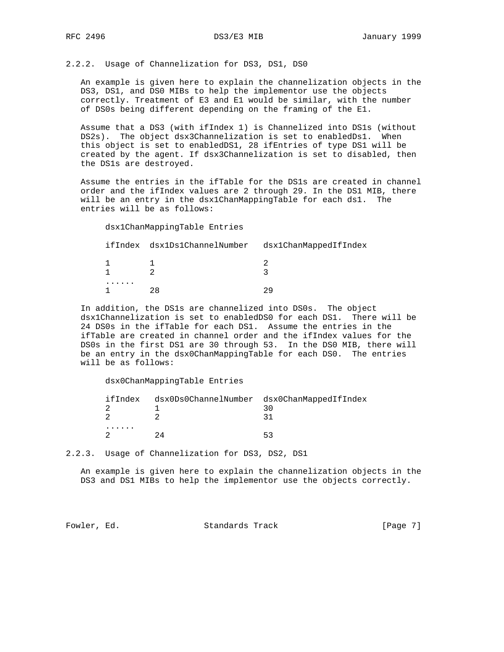2.2.2. Usage of Channelization for DS3, DS1, DS0

 An example is given here to explain the channelization objects in the DS3, DS1, and DS0 MIBs to help the implementor use the objects correctly. Treatment of E3 and E1 would be similar, with the number of DS0s being different depending on the framing of the E1.

 Assume that a DS3 (with ifIndex 1) is Channelized into DS1s (without DS2s). The object dsx3Channelization is set to enabledDs1. When this object is set to enabledDS1, 28 ifEntries of type DS1 will be created by the agent. If dsx3Channelization is set to disabled, then the DS1s are destroyed.

 Assume the entries in the ifTable for the DS1s are created in channel order and the ifIndex values are 2 through 29. In the DS1 MIB, there will be an entry in the dsx1ChanMappingTable for each ds1. The entries will be as follows:

dsx1ChanMappingTable Entries

|  | ifIndex dsx1Ds1ChannelNumber dsx1ChanMappedIfIndex |  |
|--|----------------------------------------------------|--|
|  |                                                    |  |
|  |                                                    |  |

 In addition, the DS1s are channelized into DS0s. The object dsx1Channelization is set to enabledDS0 for each DS1. There will be 24 DS0s in the ifTable for each DS1. Assume the entries in the ifTable are created in channel order and the ifIndex values for the DS0s in the first DS1 are 30 through 53. In the DS0 MIB, there will be an entry in the dsx0ChanMappingTable for each DS0. The entries will be as follows:

dsx0ChanMappingTable Entries

|  | ifIndex dsx0Ds0ChannelNumber dsx0ChanMappedIfIndex |    |
|--|----------------------------------------------------|----|
|  |                                                    |    |
|  |                                                    |    |
|  |                                                    |    |
|  |                                                    | 53 |

2.2.3. Usage of Channelization for DS3, DS2, DS1

 An example is given here to explain the channelization objects in the DS3 and DS1 MIBs to help the implementor use the objects correctly.

Fowler, Ed. Standards Track [Page 7]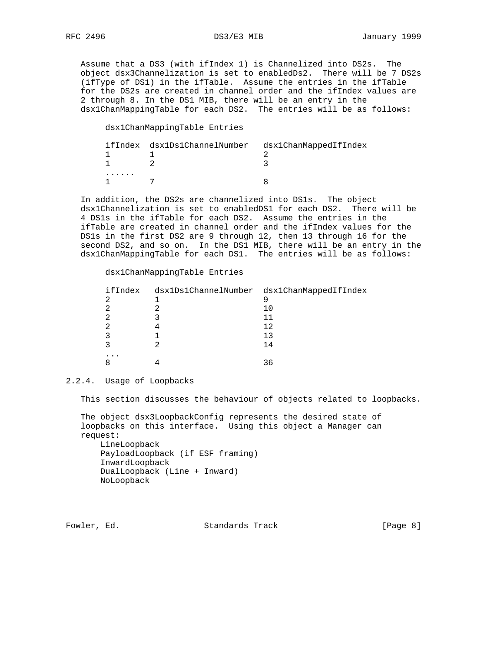Assume that a DS3 (with ifIndex 1) is Channelized into DS2s. The object dsx3Channelization is set to enabledDs2. There will be 7 DS2s (ifType of DS1) in the ifTable. Assume the entries in the ifTable for the DS2s are created in channel order and the ifIndex values are 2 through 8. In the DS1 MIB, there will be an entry in the dsx1ChanMappingTable for each DS2. The entries will be as follows:

dsx1ChanMappingTable Entries

|  | ifIndex dsx1Ds1ChannelNumber dsx1ChanMappedIfIndex |  |
|--|----------------------------------------------------|--|
|  |                                                    |  |
|  |                                                    |  |
|  |                                                    |  |
|  |                                                    |  |

 In addition, the DS2s are channelized into DS1s. The object dsx1Channelization is set to enabledDS1 for each DS2. There will be 4 DS1s in the ifTable for each DS2. Assume the entries in the ifTable are created in channel order and the ifIndex values for the DS1s in the first DS2 are 9 through 12, then 13 through 16 for the second DS2, and so on. In the DS1 MIB, there will be an entry in the dsx1ChanMappingTable for each DS1. The entries will be as follows:

## dsx1ChanMappingTable Entries

| ifIndex | dsx1Ds1ChannelNumber dsx1ChanMappedIfIndex |
|---------|--------------------------------------------|
| ⌒       |                                            |
|         | 10                                         |
|         | TΤ                                         |
|         | 12                                         |
|         | 13                                         |
|         | 14                                         |
| $\cdot$ |                                            |
|         | 36                                         |

#### 2.2.4. Usage of Loopbacks

This section discusses the behaviour of objects related to loopbacks.

 The object dsx3LoopbackConfig represents the desired state of loopbacks on this interface. Using this object a Manager can request: LineLoopback

 PayloadLoopback (if ESF framing) InwardLoopback DualLoopback (Line + Inward) NoLoopback

Fowler, Ed. Standards Track [Page 8]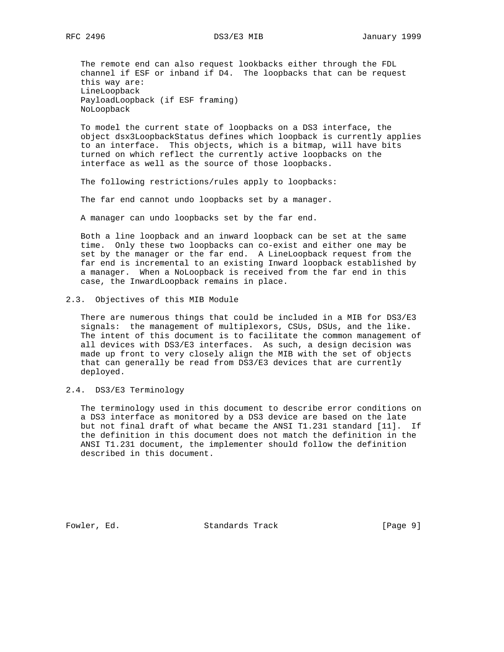The remote end can also request lookbacks either through the FDL channel if ESF or inband if D4. The loopbacks that can be request this way are: LineLoopback PayloadLoopback (if ESF framing) NoLoopback

 To model the current state of loopbacks on a DS3 interface, the object dsx3LoopbackStatus defines which loopback is currently applies to an interface. This objects, which is a bitmap, will have bits turned on which reflect the currently active loopbacks on the interface as well as the source of those loopbacks.

The following restrictions/rules apply to loopbacks:

The far end cannot undo loopbacks set by a manager.

A manager can undo loopbacks set by the far end.

 Both a line loopback and an inward loopback can be set at the same time. Only these two loopbacks can co-exist and either one may be set by the manager or the far end. A LineLoopback request from the far end is incremental to an existing Inward loopback established by a manager. When a NoLoopback is received from the far end in this case, the InwardLoopback remains in place.

2.3. Objectives of this MIB Module

 There are numerous things that could be included in a MIB for DS3/E3 signals: the management of multiplexors, CSUs, DSUs, and the like. The intent of this document is to facilitate the common management of all devices with DS3/E3 interfaces. As such, a design decision was made up front to very closely align the MIB with the set of objects that can generally be read from DS3/E3 devices that are currently deployed.

2.4. DS3/E3 Terminology

 The terminology used in this document to describe error conditions on a DS3 interface as monitored by a DS3 device are based on the late but not final draft of what became the ANSI T1.231 standard [11]. If the definition in this document does not match the definition in the ANSI T1.231 document, the implementer should follow the definition described in this document.

Fowler, Ed. Standards Track [Page 9]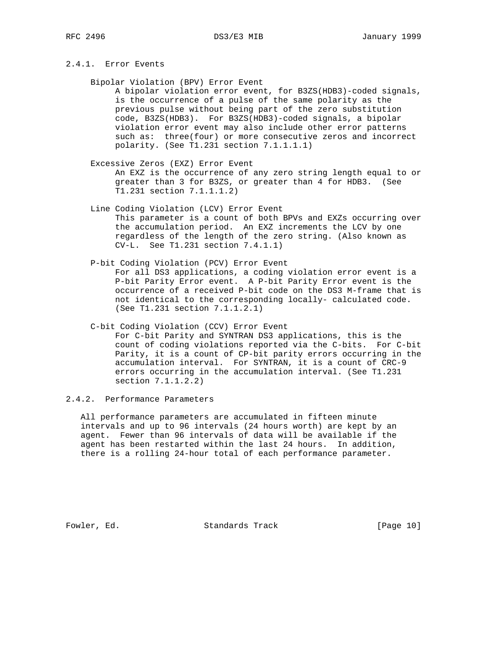# 2.4.1. Error Events

Bipolar Violation (BPV) Error Event

 A bipolar violation error event, for B3ZS(HDB3)-coded signals, is the occurrence of a pulse of the same polarity as the previous pulse without being part of the zero substitution code, B3ZS(HDB3). For B3ZS(HDB3)-coded signals, a bipolar violation error event may also include other error patterns such as: three(four) or more consecutive zeros and incorrect polarity. (See T1.231 section 7.1.1.1.1)

- Excessive Zeros (EXZ) Error Event An EXZ is the occurrence of any zero string length equal to or greater than 3 for B3ZS, or greater than 4 for HDB3. (See T1.231 section 7.1.1.1.2)
- Line Coding Violation (LCV) Error Event This parameter is a count of both BPVs and EXZs occurring over the accumulation period. An EXZ increments the LCV by one regardless of the length of the zero string. (Also known as CV-L. See T1.231 section 7.4.1.1)
- P-bit Coding Violation (PCV) Error Event For all DS3 applications, a coding violation error event is a P-bit Parity Error event. A P-bit Parity Error event is the occurrence of a received P-bit code on the DS3 M-frame that is not identical to the corresponding locally- calculated code. (See T1.231 section 7.1.1.2.1)

errors occurring in the accumulation interval. (See T1.231

- C-bit Coding Violation (CCV) Error Event For C-bit Parity and SYNTRAN DS3 applications, this is the count of coding violations reported via the C-bits. For C-bit Parity, it is a count of CP-bit parity errors occurring in the accumulation interval. For SYNTRAN, it is a count of CRC-9
- 2.4.2. Performance Parameters

section 7.1.1.2.2)

 All performance parameters are accumulated in fifteen minute intervals and up to 96 intervals (24 hours worth) are kept by an agent. Fewer than 96 intervals of data will be available if the agent has been restarted within the last 24 hours. In addition, there is a rolling 24-hour total of each performance parameter.

Fowler, Ed. Standards Track [Page 10]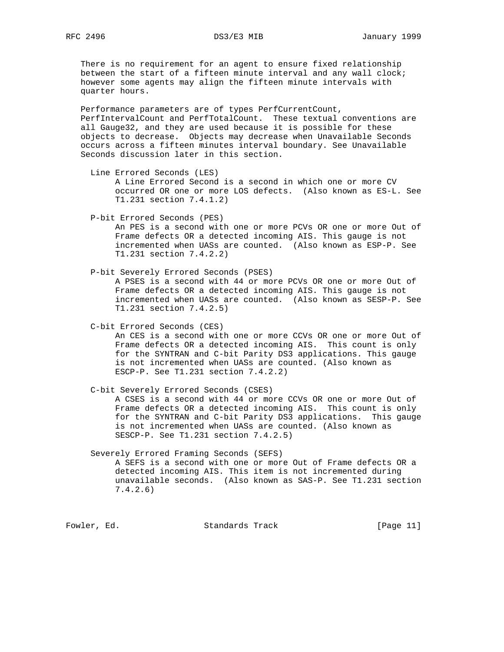There is no requirement for an agent to ensure fixed relationship between the start of a fifteen minute interval and any wall clock; however some agents may align the fifteen minute intervals with quarter hours.

 Performance parameters are of types PerfCurrentCount, PerfIntervalCount and PerfTotalCount. These textual conventions are all Gauge32, and they are used because it is possible for these objects to decrease. Objects may decrease when Unavailable Seconds occurs across a fifteen minutes interval boundary. See Unavailable Seconds discussion later in this section.

 Line Errored Seconds (LES) A Line Errored Second is a second in which one or more CV occurred OR one or more LOS defects. (Also known as ES-L. See T1.231 section 7.4.1.2)

P-bit Errored Seconds (PES)

 An PES is a second with one or more PCVs OR one or more Out of Frame defects OR a detected incoming AIS. This gauge is not incremented when UASs are counted. (Also known as ESP-P. See T1.231 section 7.4.2.2)

P-bit Severely Errored Seconds (PSES)

 A PSES is a second with 44 or more PCVs OR one or more Out of Frame defects OR a detected incoming AIS. This gauge is not incremented when UASs are counted. (Also known as SESP-P. See T1.231 section 7.4.2.5)

C-bit Errored Seconds (CES)

 An CES is a second with one or more CCVs OR one or more Out of Frame defects OR a detected incoming AIS. This count is only for the SYNTRAN and C-bit Parity DS3 applications. This gauge is not incremented when UASs are counted. (Also known as ESCP-P. See T1.231 section 7.4.2.2)

 C-bit Severely Errored Seconds (CSES) A CSES is a second with 44 or more CCVs OR one or more Out of Frame defects OR a detected incoming AIS. This count is only for the SYNTRAN and C-bit Parity DS3 applications. This gauge is not incremented when UASs are counted. (Also known as SESCP-P. See T1.231 section 7.4.2.5)

 Severely Errored Framing Seconds (SEFS) A SEFS is a second with one or more Out of Frame defects OR a detected incoming AIS. This item is not incremented during unavailable seconds. (Also known as SAS-P. See T1.231 section 7.4.2.6)

Fowler, Ed. Standards Track [Page 11]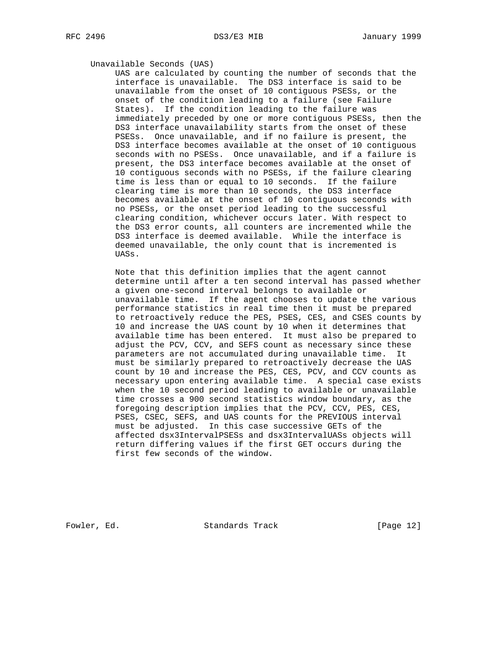## Unavailable Seconds (UAS)

 UAS are calculated by counting the number of seconds that the interface is unavailable. The DS3 interface is said to be unavailable from the onset of 10 contiguous PSESs, or the onset of the condition leading to a failure (see Failure States). If the condition leading to the failure was immediately preceded by one or more contiguous PSESs, then the DS3 interface unavailability starts from the onset of these PSESs. Once unavailable, and if no failure is present, the DS3 interface becomes available at the onset of 10 contiguous seconds with no PSESs. Once unavailable, and if a failure is present, the DS3 interface becomes available at the onset of 10 contiguous seconds with no PSESs, if the failure clearing time is less than or equal to 10 seconds. If the failure clearing time is more than 10 seconds, the DS3 interface becomes available at the onset of 10 contiguous seconds with no PSESs, or the onset period leading to the successful clearing condition, whichever occurs later. With respect to the DS3 error counts, all counters are incremented while the DS3 interface is deemed available. While the interface is deemed unavailable, the only count that is incremented is UASs.

 Note that this definition implies that the agent cannot determine until after a ten second interval has passed whether a given one-second interval belongs to available or unavailable time. If the agent chooses to update the various performance statistics in real time then it must be prepared to retroactively reduce the PES, PSES, CES, and CSES counts by 10 and increase the UAS count by 10 when it determines that available time has been entered. It must also be prepared to adjust the PCV, CCV, and SEFS count as necessary since these parameters are not accumulated during unavailable time. It must be similarly prepared to retroactively decrease the UAS count by 10 and increase the PES, CES, PCV, and CCV counts as necessary upon entering available time. A special case exists when the 10 second period leading to available or unavailable time crosses a 900 second statistics window boundary, as the foregoing description implies that the PCV, CCV, PES, CES, PSES, CSEC, SEFS, and UAS counts for the PREVIOUS interval must be adjusted. In this case successive GETs of the affected dsx3IntervalPSESs and dsx3IntervalUASs objects will return differing values if the first GET occurs during the first few seconds of the window.

Fowler, Ed. Standards Track [Page 12]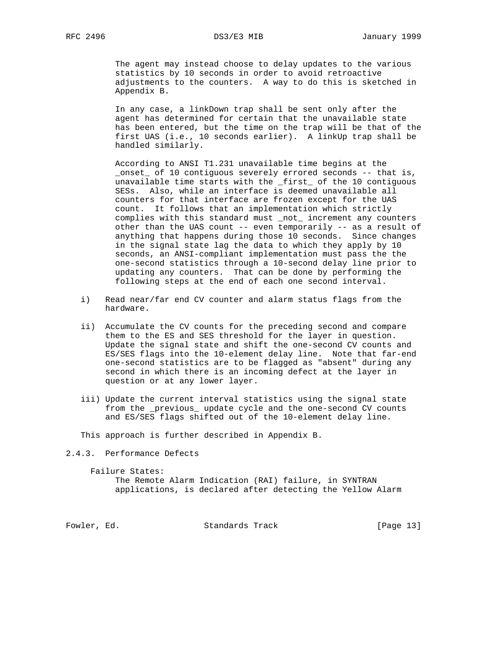The agent may instead choose to delay updates to the various statistics by 10 seconds in order to avoid retroactive adjustments to the counters. A way to do this is sketched in Appendix B.

 In any case, a linkDown trap shall be sent only after the agent has determined for certain that the unavailable state has been entered, but the time on the trap will be that of the first UAS (i.e., 10 seconds earlier). A linkUp trap shall be handled similarly.

 According to ANSI T1.231 unavailable time begins at the \_onset\_ of 10 contiguous severely errored seconds -- that is, unavailable time starts with the \_first\_ of the 10 contiguous SESs. Also, while an interface is deemed unavailable all counters for that interface are frozen except for the UAS count. It follows that an implementation which strictly complies with this standard must \_not\_ increment any counters other than the UAS count -- even temporarily -- as a result of anything that happens during those 10 seconds. Since changes in the signal state lag the data to which they apply by 10 seconds, an ANSI-compliant implementation must pass the the one-second statistics through a 10-second delay line prior to updating any counters. That can be done by performing the following steps at the end of each one second interval.

- i) Read near/far end CV counter and alarm status flags from the hardware.
- ii) Accumulate the CV counts for the preceding second and compare them to the ES and SES threshold for the layer in question. Update the signal state and shift the one-second CV counts and ES/SES flags into the 10-element delay line. Note that far-end one-second statistics are to be flagged as "absent" during any second in which there is an incoming defect at the layer in question or at any lower layer.
- iii) Update the current interval statistics using the signal state from the \_previous\_ update cycle and the one-second CV counts and ES/SES flags shifted out of the 10-element delay line.

This approach is further described in Appendix B.

2.4.3. Performance Defects

```
 Failure States:
```
 The Remote Alarm Indication (RAI) failure, in SYNTRAN applications, is declared after detecting the Yellow Alarm

Fowler, Ed. Standards Track [Page 13]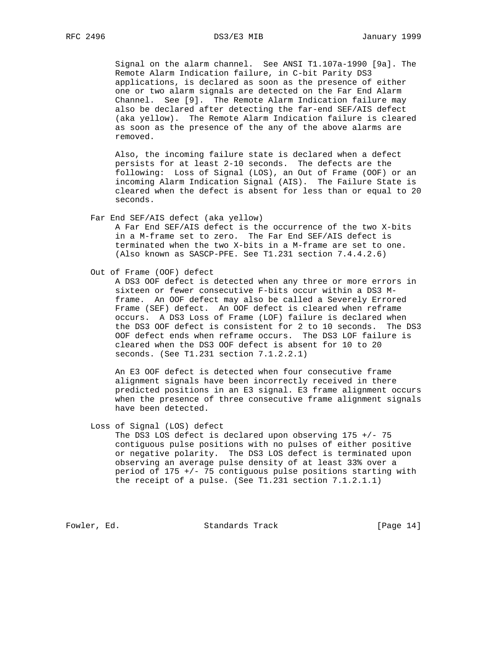Signal on the alarm channel. See ANSI T1.107a-1990 [9a]. The Remote Alarm Indication failure, in C-bit Parity DS3 applications, is declared as soon as the presence of either one or two alarm signals are detected on the Far End Alarm Channel. See [9]. The Remote Alarm Indication failure may also be declared after detecting the far-end SEF/AIS defect (aka yellow). The Remote Alarm Indication failure is cleared as soon as the presence of the any of the above alarms are removed.

 Also, the incoming failure state is declared when a defect persists for at least 2-10 seconds. The defects are the following: Loss of Signal (LOS), an Out of Frame (OOF) or an incoming Alarm Indication Signal (AIS). The Failure State is cleared when the defect is absent for less than or equal to 20 seconds.

Far End SEF/AIS defect (aka yellow)

 A Far End SEF/AIS defect is the occurrence of the two X-bits in a M-frame set to zero. The Far End SEF/AIS defect is terminated when the two X-bits in a M-frame are set to one. (Also known as SASCP-PFE. See T1.231 section 7.4.4.2.6)

Out of Frame (OOF) defect

 A DS3 OOF defect is detected when any three or more errors in sixteen or fewer consecutive F-bits occur within a DS3 M frame. An OOF defect may also be called a Severely Errored Frame (SEF) defect. An OOF defect is cleared when reframe occurs. A DS3 Loss of Frame (LOF) failure is declared when the DS3 OOF defect is consistent for 2 to 10 seconds. The DS3 OOF defect ends when reframe occurs. The DS3 LOF failure is cleared when the DS3 OOF defect is absent for 10 to 20 seconds. (See T1.231 section 7.1.2.2.1)

 An E3 OOF defect is detected when four consecutive frame alignment signals have been incorrectly received in there predicted positions in an E3 signal. E3 frame alignment occurs when the presence of three consecutive frame alignment signals have been detected.

Loss of Signal (LOS) defect

 The DS3 LOS defect is declared upon observing 175 +/- 75 contiguous pulse positions with no pulses of either positive or negative polarity. The DS3 LOS defect is terminated upon observing an average pulse density of at least 33% over a period of 175 +/- 75 contiguous pulse positions starting with the receipt of a pulse. (See T1.231 section 7.1.2.1.1)

Fowler, Ed. Standards Track [Page 14]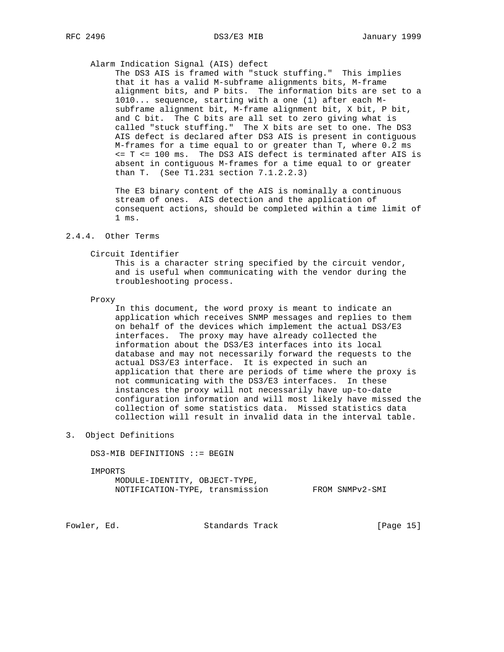### Alarm Indication Signal (AIS) defect

 The DS3 AIS is framed with "stuck stuffing." This implies that it has a valid M-subframe alignments bits, M-frame alignment bits, and P bits. The information bits are set to a 1010... sequence, starting with a one (1) after each M subframe alignment bit, M-frame alignment bit, X bit, P bit, and C bit. The C bits are all set to zero giving what is called "stuck stuffing." The X bits are set to one. The DS3 AIS defect is declared after DS3 AIS is present in contiguous M-frames for a time equal to or greater than T, where 0.2 ms <= T <= 100 ms. The DS3 AIS defect is terminated after AIS is absent in contiguous M-frames for a time equal to or greater than T. (See T1.231 section 7.1.2.2.3)

 The E3 binary content of the AIS is nominally a continuous stream of ones. AIS detection and the application of consequent actions, should be completed within a time limit of 1 ms.

### 2.4.4. Other Terms

#### Circuit Identifier

 This is a character string specified by the circuit vendor, and is useful when communicating with the vendor during the troubleshooting process.

#### Proxy

 In this document, the word proxy is meant to indicate an application which receives SNMP messages and replies to them on behalf of the devices which implement the actual DS3/E3 interfaces. The proxy may have already collected the information about the DS3/E3 interfaces into its local database and may not necessarily forward the requests to the actual DS3/E3 interface. It is expected in such an application that there are periods of time where the proxy is not communicating with the DS3/E3 interfaces. In these instances the proxy will not necessarily have up-to-date configuration information and will most likely have missed the collection of some statistics data. Missed statistics data collection will result in invalid data in the interval table.

### 3. Object Definitions

DS3-MIB DEFINITIONS ::= BEGIN

IMPORTS

 MODULE-IDENTITY, OBJECT-TYPE, NOTIFICATION-TYPE, transmission FROM SNMPv2-SMI

Fowler, Ed. Standards Track [Page 15]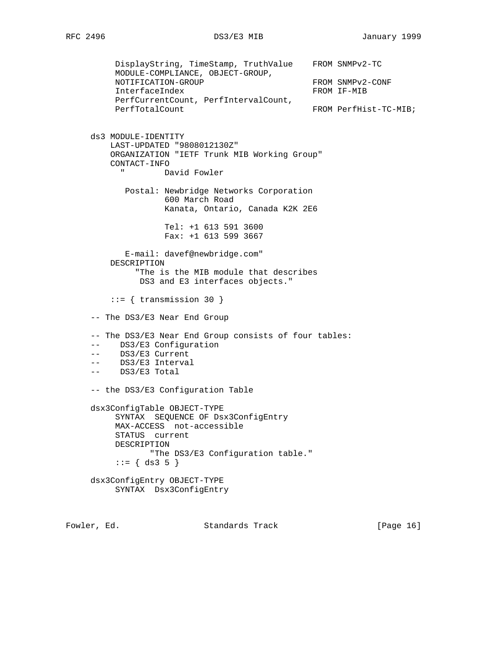DisplayString, TimeStamp, TruthValue FROM SNMPv2-TC MODULE-COMPLIANCE, OBJECT-GROUP, NOTIFICATION-GROUP FROM SNMPv2-CONF InterfaceIndex FROM IF-MIB PerfCurrentCount, PerfIntervalCount, PerfTotalCount FROM PerfHist-TC-MIB; ds3 MODULE-IDENTITY LAST-UPDATED "9808012130Z" ORGANIZATION "IETF Trunk MIB Working Group" CONTACT-INFO David Fowler Postal: Newbridge Networks Corporation 600 March Road Kanata, Ontario, Canada K2K 2E6 Tel: +1 613 591 3600 Fax: +1 613 599 3667 E-mail: davef@newbridge.com" DESCRIPTION "The is the MIB module that describes DS3 and E3 interfaces objects."  $::=$  { transmission 30 } -- The DS3/E3 Near End Group -- The DS3/E3 Near End Group consists of four tables: -- DS3/E3 Configuration -- DS3/E3 Current -- DS3/E3 Interval -- DS3/E3 Total -- the DS3/E3 Configuration Table dsx3ConfigTable OBJECT-TYPE SYNTAX SEQUENCE OF Dsx3ConfigEntry MAX-ACCESS not-accessible STATUS current DESCRIPTION "The DS3/E3 Configuration table."  $::= \{ ds3 5 \}$  dsx3ConfigEntry OBJECT-TYPE SYNTAX Dsx3ConfigEntry

Fowler, Ed. Standards Track [Page 16]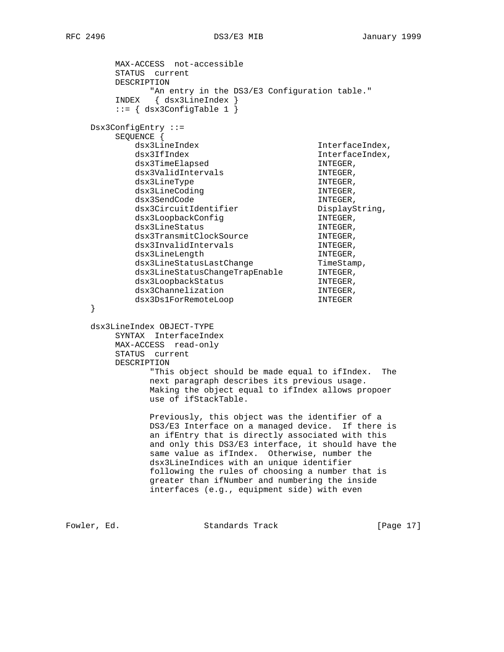MAX-ACCESS not-accessible STATUS current DESCRIPTION "An entry in the DS3/E3 Configuration table." INDEX { dsx3LineIndex }  $::= \{ dsx3ConfigTable 1 \}$  Dsx3ConfigEntry ::= SEQUENCE { dsx3LineIndex InterfaceIndex, dsx3IfIndex InterfaceIndex, dsx3TimeElapsed in the interest of  $\sim$  INTEGER, dsx3ValidIntervals in the INTEGER, dsx3LineType INTEGER, dsx3LineCoding intervals and  $\Delta$  intervals  $\Delta$  intervals  $\Delta$ dsx3SendCode in the INTEGER, dsx3CircuitIdentifier DisplayString, dsx3LoopbackConfig INTEGER, dsx3LineStatus in the INTEGER, dsx3TransmitClockSource TNTEGER, dsx3InvalidIntervals in the INTEGER, dsx3LineLength intervalue intervalue intervalue intervalue intervalue intervalue intervalue in the intervalue i dsx3LineStatusLastChange TimeStamp, dsx3LineStatusChangeTrapEnable INTEGER, dsx3LoopbackStatus in the INTEGER, dsx3Channelization in the INTEGER, dsx3Ds1ForRemoteLoop INTEGER } dsx3LineIndex OBJECT-TYPE SYNTAX InterfaceIndex MAX-ACCESS read-only STATUS current DESCRIPTION "This object should be made equal to ifIndex. The next paragraph describes its previous usage. Making the object equal to ifIndex allows propoer use of ifStackTable. Previously, this object was the identifier of a DS3/E3 Interface on a managed device. If there is an ifEntry that is directly associated with this and only this DS3/E3 interface, it should have the same value as ifIndex. Otherwise, number the dsx3LineIndices with an unique identifier following the rules of choosing a number that is greater than ifNumber and numbering the inside interfaces (e.g., equipment side) with even Fowler, Ed. Standards Track [Page 17]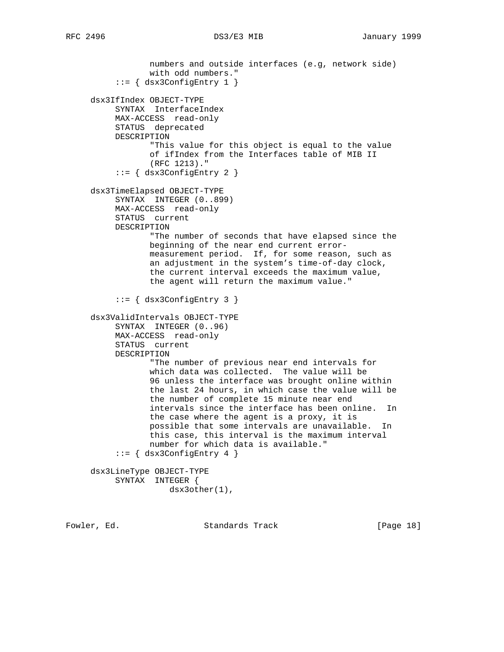```
 numbers and outside interfaces (e.g, network side)
             with odd numbers."
     ::= { dsx3ConfigEntry 1 }
 dsx3IfIndex OBJECT-TYPE
     SYNTAX InterfaceIndex
      MAX-ACCESS read-only
      STATUS deprecated
      DESCRIPTION
             "This value for this object is equal to the value
             of ifIndex from the Interfaces table of MIB II
             (RFC 1213)."
      ::= { dsx3ConfigEntry 2 }
 dsx3TimeElapsed OBJECT-TYPE
      SYNTAX INTEGER (0..899)
      MAX-ACCESS read-only
      STATUS current
     DESCRIPTION
             "The number of seconds that have elapsed since the
             beginning of the near end current error-
             measurement period. If, for some reason, such as
             an adjustment in the system's time-of-day clock,
             the current interval exceeds the maximum value,
             the agent will return the maximum value."
      ::= { dsx3ConfigEntry 3 }
 dsx3ValidIntervals OBJECT-TYPE
      SYNTAX INTEGER (0..96)
      MAX-ACCESS read-only
     STATUS current
     DESCRIPTION
             "The number of previous near end intervals for
             which data was collected. The value will be
             96 unless the interface was brought online within
             the last 24 hours, in which case the value will be
             the number of complete 15 minute near end
             intervals since the interface has been online. In
             the case where the agent is a proxy, it is
             possible that some intervals are unavailable. In
             this case, this interval is the maximum interval
             number for which data is available."
     ::= \{ dsx3ConfigEntry 4 \} dsx3LineType OBJECT-TYPE
      SYNTAX INTEGER {
                 dsx3other(1),
```
Fowler, Ed. Standards Track [Page 18]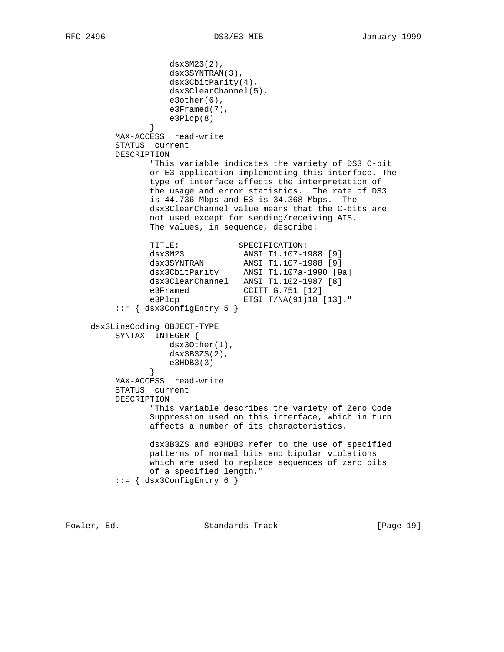```
 dsx3M23(2),
                   dsx3SYNTRAN(3),
                   dsx3CbitParity(4),
                   dsx3ClearChannel(5),
                   e3other(6),
                  e3Framed(7),
              e3P1cp(8) }
         MAX-ACCESS read-write
         STATUS current
         DESCRIPTION
               "This variable indicates the variety of DS3 C-bit
               or E3 application implementing this interface. The
               type of interface affects the interpretation of
               the usage and error statistics. The rate of DS3
               is 44.736 Mbps and E3 is 34.368 Mbps. The
               dsx3ClearChannel value means that the C-bits are
               not used except for sending/receiving AIS.
               The values, in sequence, describe:
TITLE: SPECIFICATION:
 dsx3M23 ANSI T1.107-1988 [9]
 dsx3SYNTRAN ANSI T1.107-1988 [9]
 dsx3CbitParity ANSI T1.107a-1990 [9a]
 dsx3ClearChannel ANSI T1.102-1987 [8]
e3Framed CCITT G.751 [12]
 e3Plcp ETSI T/NA(91)18 [13]."
         ::= { dsx3ConfigEntry 5 }
     dsx3LineCoding OBJECT-TYPE
         SYNTAX INTEGER {
                  dsx3Other(1),
                   dsx3B3ZS(2),
              e3HDB3(3) }
         MAX-ACCESS read-write
         STATUS current
         DESCRIPTION
               "This variable describes the variety of Zero Code
               Suppression used on this interface, which in turn
               affects a number of its characteristics.
               dsx3B3ZS and e3HDB3 refer to the use of specified
               patterns of normal bits and bipolar violations
               which are used to replace sequences of zero bits
               of a specified length."
         ::= { dsx3ConfigEntry 6 }
```
Fowler, Ed. Standards Track [Page 19]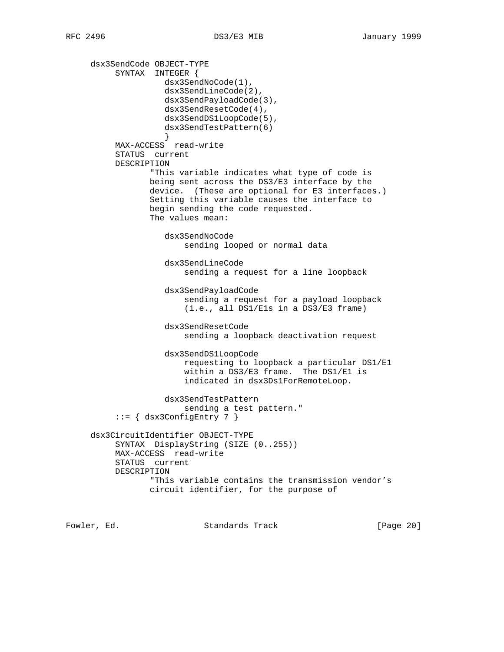dsx3SendCode OBJECT-TYPE SYNTAX INTEGER { dsx3SendNoCode(1), dsx3SendLineCode(2), dsx3SendPayloadCode(3), dsx3SendResetCode(4), dsx3SendDS1LoopCode(5), dsx3SendTestPattern(6) } MAX-ACCESS read-write STATUS current DESCRIPTION "This variable indicates what type of code is being sent across the DS3/E3 interface by the device. (These are optional for E3 interfaces.) Setting this variable causes the interface to begin sending the code requested. The values mean: dsx3SendNoCode sending looped or normal data dsx3SendLineCode sending a request for a line loopback dsx3SendPayloadCode sending a request for a payload loopback (i.e., all DS1/E1s in a DS3/E3 frame) dsx3SendResetCode sending a loopback deactivation request dsx3SendDS1LoopCode requesting to loopback a particular DS1/E1 within a DS3/E3 frame. The DS1/E1 is indicated in dsx3Ds1ForRemoteLoop. dsx3SendTestPattern sending a test pattern." ::= { dsx3ConfigEntry 7 } dsx3CircuitIdentifier OBJECT-TYPE SYNTAX DisplayString (SIZE (0..255)) MAX-ACCESS read-write STATUS current DESCRIPTION "This variable contains the transmission vendor's circuit identifier, for the purpose of

Fowler, Ed. Standards Track [Page 20]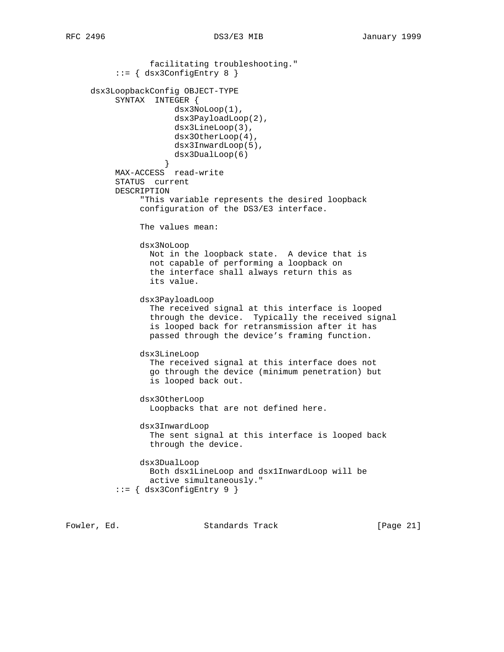```
 facilitating troubleshooting."
           ::= { dsx3ConfigEntry 8 }
     dsx3LoopbackConfig OBJECT-TYPE
          SYNTAX INTEGER {
                       dsx3NoLoop(1),
                       dsx3PayloadLoop(2),
                       dsx3LineLoop(3),
                       dsx3OtherLoop(4),
                       dsx3InwardLoop(5),
                       dsx3DualLoop(6)
 }
          MAX-ACCESS read-write
          STATUS current
          DESCRIPTION
                "This variable represents the desired loopback
                configuration of the DS3/E3 interface.
                The values mean:
                dsx3NoLoop
                 Not in the loopback state. A device that is
                 not capable of performing a loopback on
                 the interface shall always return this as
                  its value.
                dsx3PayloadLoop
                  The received signal at this interface is looped
                  through the device. Typically the received signal
                  is looped back for retransmission after it has
                  passed through the device's framing function.
                dsx3LineLoop
                  The received signal at this interface does not
                  go through the device (minimum penetration) but
                  is looped back out.
                dsx3OtherLoop
                  Loopbacks that are not defined here.
                dsx3InwardLoop
                  The sent signal at this interface is looped back
                  through the device.
                dsx3DualLoop
                  Both dsx1LineLoop and dsx1InwardLoop will be
                  active simultaneously."
           ::= { dsx3ConfigEntry 9 }
```
Fowler, Ed. Standards Track [Page 21]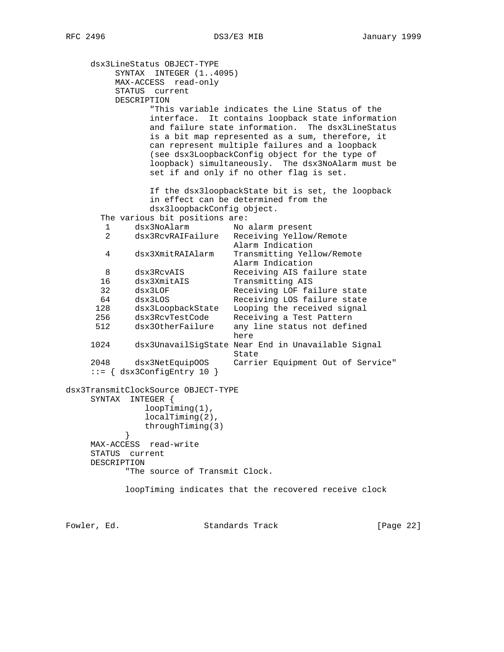dsx3LineStatus OBJECT-TYPE SYNTAX INTEGER (1..4095) MAX-ACCESS read-only STATUS current DESCRIPTION "This variable indicates the Line Status of the interface. It contains loopback state information and failure state information. The dsx3LineStatus is a bit map represented as a sum, therefore, it can represent multiple failures and a loopback (see dsx3LoopbackConfig object for the type of loopback) simultaneously. The dsx3NoAlarm must be set if and only if no other flag is set. If the dsx3loopbackState bit is set, the loopback in effect can be determined from the dsx3loopbackConfig object. The various bit positions are: 1 dsx3NoAlarm No alarm present 2 dsx3RcvRAIFailure Receiving Yellow/Remote Alarm Indication 4 dsx3XmitRAIAlarm Transmitting Yellow/Remote Alarm Indication 8 dsx3RcvAIS Receiving AIS failure state 16 dsx3XmitAIS Transmitting AIS 32 dsx3LOF Receiving LOF failure state 64 dsx3LOS Receiving LOS failure state 128 dsx3LoopbackState Looping the received signal 256 dsx3RcvTestCode Receiving a Test Pattern 512 dsx3OtherFailure any line status not defined here when the contract of the contract of the contract of the contract of the contract of the contract of the contract of the contract of the contract of the contract of the contract of the contract of the contract of the 1024 dsx3UnavailSigState Near End in Unavailable Signal State<br>2048 dsx3NetEquipOOS Carrie Carrier Equipment Out of Service" ::= { dsx3ConfigEntry 10 } dsx3TransmitClockSource OBJECT-TYPE SYNTAX INTEGER { loopTiming(1), localTiming(2), throughTiming(3)<br>} } MAX-ACCESS read-write STATUS current DESCRIPTION "The source of Transmit Clock. loopTiming indicates that the recovered receive clock

Fowler, Ed. Standards Track [Page 22]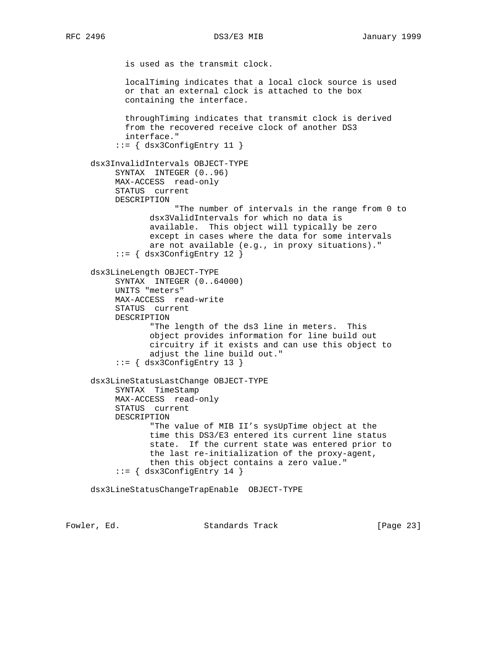is used as the transmit clock. localTiming indicates that a local clock source is used or that an external clock is attached to the box containing the interface. throughTiming indicates that transmit clock is derived from the recovered receive clock of another DS3 interface." ::= { dsx3ConfigEntry 11 } dsx3InvalidIntervals OBJECT-TYPE SYNTAX INTEGER (0..96) MAX-ACCESS read-only STATUS current DESCRIPTION "The number of intervals in the range from 0 to dsx3ValidIntervals for which no data is available. This object will typically be zero except in cases where the data for some intervals are not available (e.g., in proxy situations)." ::= { dsx3ConfigEntry 12 } dsx3LineLength OBJECT-TYPE SYNTAX INTEGER (0..64000) UNITS "meters" MAX-ACCESS read-write STATUS current DESCRIPTION "The length of the ds3 line in meters. This object provides information for line build out circuitry if it exists and can use this object to adjust the line build out." ::= { dsx3ConfigEntry 13 } dsx3LineStatusLastChange OBJECT-TYPE SYNTAX TimeStamp MAX-ACCESS read-only STATUS current DESCRIPTION "The value of MIB II's sysUpTime object at the time this DS3/E3 entered its current line status state. If the current state was entered prior to the last re-initialization of the proxy-agent, then this object contains a zero value." ::= { dsx3ConfigEntry 14 } dsx3LineStatusChangeTrapEnable OBJECT-TYPE

Fowler, Ed. Standards Track [Page 23]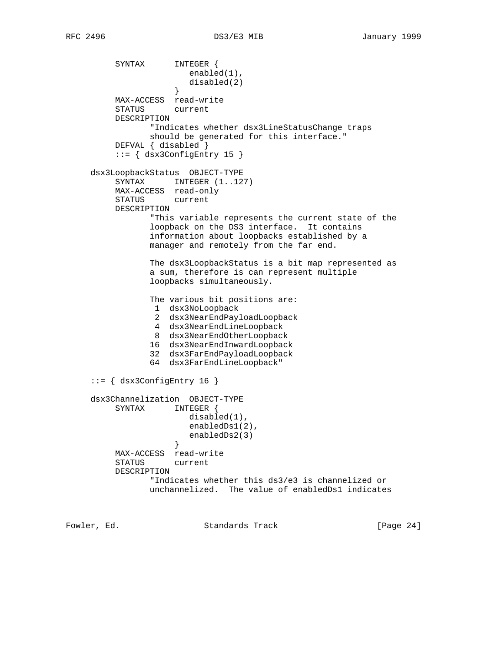SYNTAX INTEGER { enabled(1), disabled(2) } MAX-ACCESS read-write STATUS current DESCRIPTION "Indicates whether dsx3LineStatusChange traps should be generated for this interface." DEFVAL { disabled } ::= { dsx3ConfigEntry 15 } dsx3LoopbackStatus OBJECT-TYPE SYNTAX INTEGER  $(1..127)$  MAX-ACCESS read-only STATUS current DESCRIPTION "This variable represents the current state of the loopback on the DS3 interface. It contains information about loopbacks established by a manager and remotely from the far end. The dsx3LoopbackStatus is a bit map represented as a sum, therefore is can represent multiple loopbacks simultaneously. The various bit positions are: 1 dsx3NoLoopback 2 dsx3NearEndPayloadLoopback 4 dsx3NearEndLineLoopback 8 dsx3NearEndOtherLoopback 16 dsx3NearEndInwardLoopback 32 dsx3FarEndPayloadLoopback 64 dsx3FarEndLineLoopback" ::= { dsx3ConfigEntry 16 } dsx3Channelization OBJECT-TYPE SYNTAX INTEGER { disabled(1), enabledDs1(2), enabledDs2(3)<br>} } MAX-ACCESS read-write STATUS current DESCRIPTION "Indicates whether this ds3/e3 is channelized or unchannelized. The value of enabledDs1 indicates

Fowler, Ed. Standards Track [Page 24]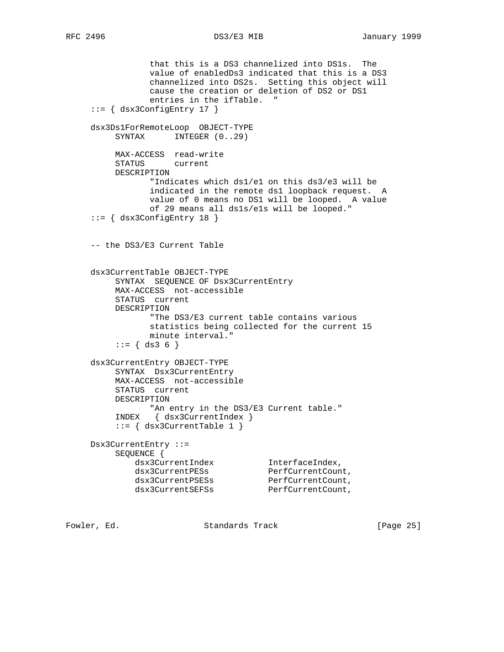that this is a DS3 channelized into DS1s. The value of enabledDs3 indicated that this is a DS3 channelized into DS2s. Setting this object will cause the creation or deletion of DS2 or DS1 entries in the ifTable. " ::= { dsx3ConfigEntry 17 } dsx3Ds1ForRemoteLoop OBJECT-TYPE SYNTAX INTEGER  $(0..29)$  MAX-ACCESS read-write STATUS current DESCRIPTION "Indicates which ds1/e1 on this ds3/e3 will be indicated in the remote ds1 loopback request. A value of 0 means no DS1 will be looped. A value of 29 means all ds1s/e1s will be looped." ::= { dsx3ConfigEntry 18 } -- the DS3/E3 Current Table dsx3CurrentTable OBJECT-TYPE SYNTAX SEQUENCE OF Dsx3CurrentEntry MAX-ACCESS not-accessible STATUS current DESCRIPTION "The DS3/E3 current table contains various statistics being collected for the current 15 minute interval."  $::= \{ ds3 6 \}$  dsx3CurrentEntry OBJECT-TYPE SYNTAX Dsx3CurrentEntry MAX-ACCESS not-accessible STATUS current DESCRIPTION "An entry in the DS3/E3 Current table." INDEX { dsx3CurrentIndex } ::= { dsx3CurrentTable 1 } Dsx3CurrentEntry ::= SEQUENCE { dsx3CurrentIndex InterfaceIndex, dsx3CurrentPESs PerfCurrentCount, dsx3CurrentPSESs PerfCurrentCount, dsx3CurrentSEFSs PerfCurrentCount,

Fowler, Ed. Standards Track [Page 25]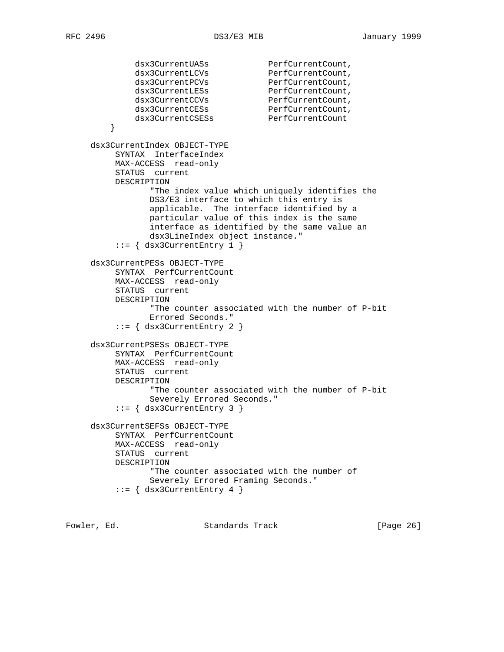```
dsx3CurrentUASs PerfCurrentCount,
dsx3CurrentLCVs PerfCurrentCount,
dsx3CurrentPCVs PerfCurrentCount,
dsx3CurrentLESs PerfCurrentCount,
dsx3CurrentCCVs PerfCurrentCount,
dsx3CurrentCESs PerfCurrentCount,
dsx3CurrentCSESs PerfCurrentCount
 }
     dsx3CurrentIndex OBJECT-TYPE
         SYNTAX InterfaceIndex
         MAX-ACCESS read-only
         STATUS current
         DESCRIPTION
               "The index value which uniquely identifies the
               DS3/E3 interface to which this entry is
               applicable. The interface identified by a
               particular value of this index is the same
               interface as identified by the same value an
               dsx3LineIndex object instance."
        ::= { dsx3CurrentEntry 1 }
     dsx3CurrentPESs OBJECT-TYPE
         SYNTAX PerfCurrentCount
         MAX-ACCESS read-only
         STATUS current
         DESCRIPTION
               "The counter associated with the number of P-bit
               Errored Seconds."
         ::= { dsx3CurrentEntry 2 }
     dsx3CurrentPSESs OBJECT-TYPE
         SYNTAX PerfCurrentCount
         MAX-ACCESS read-only
         STATUS current
         DESCRIPTION
               "The counter associated with the number of P-bit
               Severely Errored Seconds."
         ::= { dsx3CurrentEntry 3 }
     dsx3CurrentSEFSs OBJECT-TYPE
         SYNTAX PerfCurrentCount
         MAX-ACCESS read-only
         STATUS current
         DESCRIPTION
                "The counter associated with the number of
               Severely Errored Framing Seconds."
        ::= { dsx3CurrentEntry 4 }
```
Fowler, Ed. Standards Track [Page 26]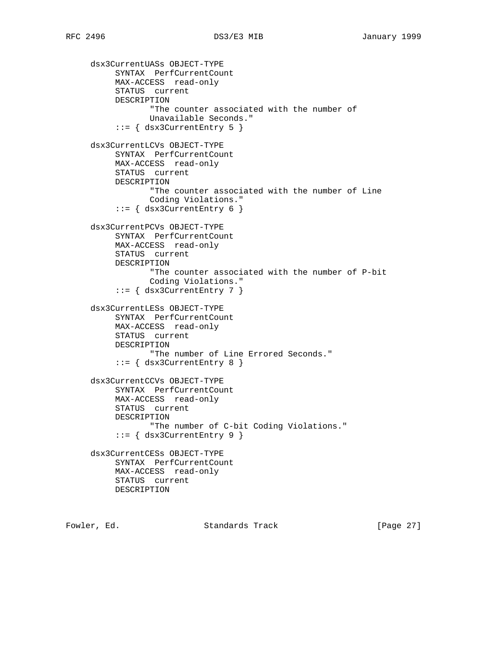```
 dsx3CurrentUASs OBJECT-TYPE
      SYNTAX PerfCurrentCount
      MAX-ACCESS read-only
      STATUS current
      DESCRIPTION
             "The counter associated with the number of
             Unavailable Seconds."
      ::= { dsx3CurrentEntry 5 }
 dsx3CurrentLCVs OBJECT-TYPE
      SYNTAX PerfCurrentCount
      MAX-ACCESS read-only
      STATUS current
      DESCRIPTION
             "The counter associated with the number of Line
             Coding Violations."
     ::= { dsx3CurrentEntry 6 }
 dsx3CurrentPCVs OBJECT-TYPE
     SYNTAX PerfCurrentCount
      MAX-ACCESS read-only
      STATUS current
      DESCRIPTION
             "The counter associated with the number of P-bit
             Coding Violations."
      ::= { dsx3CurrentEntry 7 }
 dsx3CurrentLESs OBJECT-TYPE
      SYNTAX PerfCurrentCount
      MAX-ACCESS read-only
      STATUS current
      DESCRIPTION
             "The number of Line Errored Seconds."
     ::= { dsx3CurrentEntry 8 }
 dsx3CurrentCCVs OBJECT-TYPE
     SYNTAX PerfCurrentCount
      MAX-ACCESS read-only
      STATUS current
      DESCRIPTION
             "The number of C-bit Coding Violations."
      ::= { dsx3CurrentEntry 9 }
 dsx3CurrentCESs OBJECT-TYPE
      SYNTAX PerfCurrentCount
      MAX-ACCESS read-only
     STATUS current
     DESCRIPTION
```
Fowler, Ed. Standards Track [Page 27]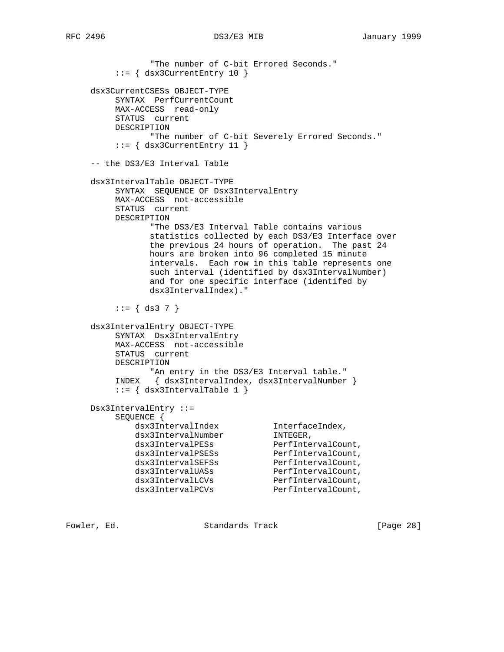```
 "The number of C-bit Errored Seconds."
         ::= { dsx3CurrentEntry 10 }
     dsx3CurrentCSESs OBJECT-TYPE
         SYNTAX PerfCurrentCount
         MAX-ACCESS read-only
         STATUS current
         DESCRIPTION
                "The number of C-bit Severely Errored Seconds."
         ::= { dsx3CurrentEntry 11 }
     -- the DS3/E3 Interval Table
     dsx3IntervalTable OBJECT-TYPE
         SYNTAX SEQUENCE OF Dsx3IntervalEntry
         MAX-ACCESS not-accessible
         STATUS current
         DESCRIPTION
               "The DS3/E3 Interval Table contains various
               statistics collected by each DS3/E3 Interface over
               the previous 24 hours of operation. The past 24
               hours are broken into 96 completed 15 minute
               intervals. Each row in this table represents one
               such interval (identified by dsx3IntervalNumber)
               and for one specific interface (identifed by
               dsx3IntervalIndex)."
        ::= { ds3 7 }
     dsx3IntervalEntry OBJECT-TYPE
         SYNTAX Dsx3IntervalEntry
         MAX-ACCESS not-accessible
         STATUS current
         DESCRIPTION
              "An entry in the DS3/E3 Interval table."
         INDEX { dsx3IntervalIndex, dsx3IntervalNumber }
         ::= { dsx3IntervalTable 1 }
     Dsx3IntervalEntry ::=
         SEQUENCE {
 dsx3IntervalIndex InterfaceIndex,
dsx3IntervalNumber INTEGER,
dsx3IntervalPESs PerfIntervalCount,
dsx3IntervalPSESs PerfIntervalCount,
dsx3IntervalSEFSs PerfIntervalCount,
dsx3IntervalUASs PerfIntervalCount,
dsx3IntervalLCVs PerfIntervalCount,
dsx3IntervalPCVs PerfIntervalCount,
```
Fowler, Ed. Standards Track [Page 28]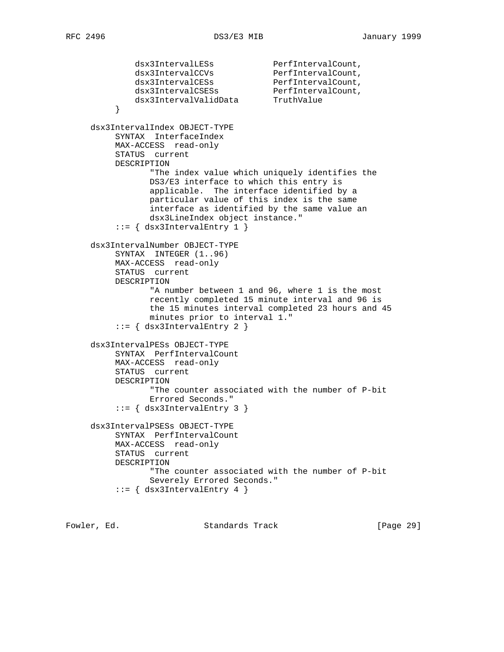dsx3IntervalLESs PerfIntervalCount, dsx3IntervalCCVs PerfIntervalCount, dsx3IntervalCESs PerfIntervalCount, dsx3IntervalCSESs PerfIntervalCount, dsx3IntervalValidData TruthValue } dsx3IntervalIndex OBJECT-TYPE SYNTAX InterfaceIndex MAX-ACCESS read-only STATUS current DESCRIPTION "The index value which uniquely identifies the DS3/E3 interface to which this entry is applicable. The interface identified by a particular value of this index is the same interface as identified by the same value an dsx3LineIndex object instance." ::= { dsx3IntervalEntry 1 } dsx3IntervalNumber OBJECT-TYPE SYNTAX INTEGER (1..96) MAX-ACCESS read-only STATUS current DESCRIPTION "A number between 1 and 96, where 1 is the most recently completed 15 minute interval and 96 is the 15 minutes interval completed 23 hours and 45 minutes prior to interval 1." ::= { dsx3IntervalEntry 2 } dsx3IntervalPESs OBJECT-TYPE SYNTAX PerfIntervalCount MAX-ACCESS read-only STATUS current DESCRIPTION "The counter associated with the number of P-bit Errored Seconds." ::= { dsx3IntervalEntry 3 } dsx3IntervalPSESs OBJECT-TYPE SYNTAX PerfIntervalCount MAX-ACCESS read-only STATUS current DESCRIPTION "The counter associated with the number of P-bit Severely Errored Seconds."  $::=$  { dsx3IntervalEntry 4 }

Fowler, Ed. Standards Track [Page 29]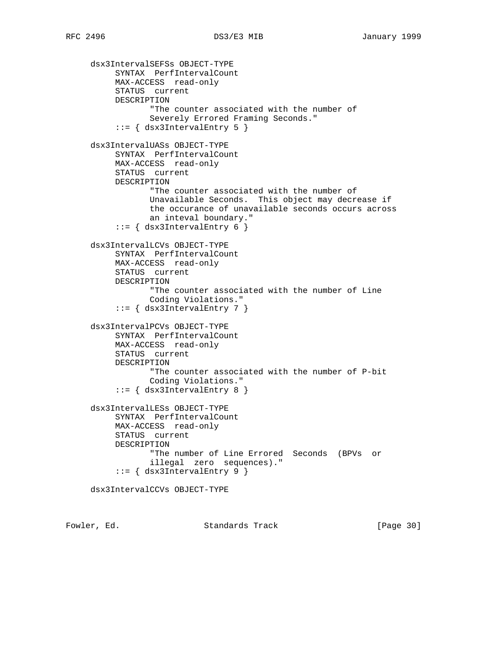dsx3IntervalSEFSs OBJECT-TYPE SYNTAX PerfIntervalCount MAX-ACCESS read-only STATUS current DESCRIPTION "The counter associated with the number of Severely Errored Framing Seconds."  $::=$   $\{$  dsx3IntervalEntry 5  $\}$  dsx3IntervalUASs OBJECT-TYPE SYNTAX PerfIntervalCount MAX-ACCESS read-only STATUS current DESCRIPTION "The counter associated with the number of Unavailable Seconds. This object may decrease if the occurance of unavailable seconds occurs across an inteval boundary." ::= { dsx3IntervalEntry 6 } dsx3IntervalLCVs OBJECT-TYPE SYNTAX PerfIntervalCount MAX-ACCESS read-only STATUS current DESCRIPTION "The counter associated with the number of Line Coding Violations."  $::=$  { dsx3IntervalEntry 7 } dsx3IntervalPCVs OBJECT-TYPE SYNTAX PerfIntervalCount MAX-ACCESS read-only STATUS current DESCRIPTION "The counter associated with the number of P-bit Coding Violations." ::= { dsx3IntervalEntry 8 } dsx3IntervalLESs OBJECT-TYPE SYNTAX PerfIntervalCount MAX-ACCESS read-only STATUS current DESCRIPTION "The number of Line Errored Seconds (BPVs or illegal zero sequences)." ::= { dsx3IntervalEntry 9 } dsx3IntervalCCVs OBJECT-TYPE

Fowler, Ed. Standards Track [Page 30]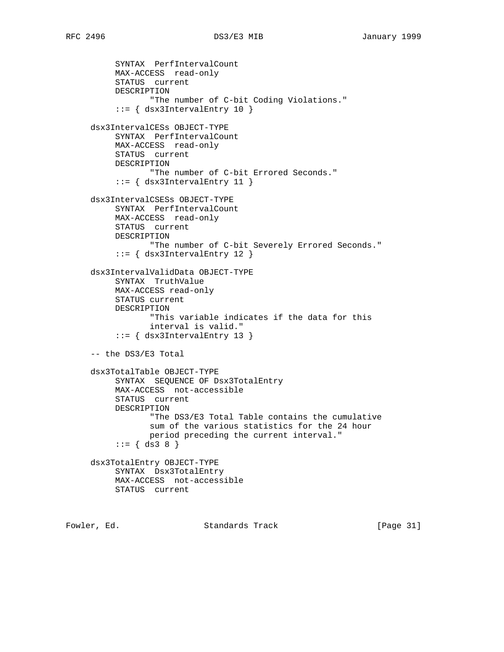```
 SYNTAX PerfIntervalCount
      MAX-ACCESS read-only
      STATUS current
      DESCRIPTION
             "The number of C-bit Coding Violations."
      ::= { dsx3IntervalEntry 10 }
 dsx3IntervalCESs OBJECT-TYPE
      SYNTAX PerfIntervalCount
      MAX-ACCESS read-only
      STATUS current
     DESCRIPTION
            "The number of C-bit Errored Seconds."
     ::= { dsx3IntervalEntry 11 }
 dsx3IntervalCSESs OBJECT-TYPE
      SYNTAX PerfIntervalCount
      MAX-ACCESS read-only
      STATUS current
     DESCRIPTION
             "The number of C-bit Severely Errored Seconds."
      ::= { dsx3IntervalEntry 12 }
 dsx3IntervalValidData OBJECT-TYPE
      SYNTAX TruthValue
      MAX-ACCESS read-only
      STATUS current
      DESCRIPTION
             "This variable indicates if the data for this
             interval is valid."
      ::= { dsx3IntervalEntry 13 }
 -- the DS3/E3 Total
 dsx3TotalTable OBJECT-TYPE
      SYNTAX SEQUENCE OF Dsx3TotalEntry
      MAX-ACCESS not-accessible
      STATUS current
      DESCRIPTION
             "The DS3/E3 Total Table contains the cumulative
             sum of the various statistics for the 24 hour
            period preceding the current interval."
     ::= \{ ds3 8 \} dsx3TotalEntry OBJECT-TYPE
      SYNTAX Dsx3TotalEntry
      MAX-ACCESS not-accessible
     STATUS current
```
Fowler, Ed. Standards Track [Page 31]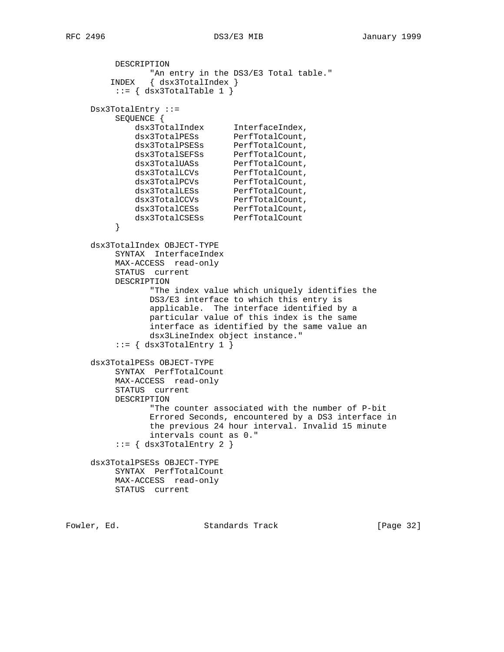```
 DESCRIPTION
               "An entry in the DS3/E3 Total table."
        INDEX { dsx3TotalIndex }
        ::= { dsx3TotalTable 1 }
     Dsx3TotalEntry ::=
         SEQUENCE {
 dsx3TotalIndex InterfaceIndex,
dsx3TotalPESs PerfTotalCount,
dsx3TotalPSESs PerfTotalCount,
dsx3TotalSEFSs PerfTotalCount,
dsx3TotalUASs PerfTotalCount,
dsx3TotalLCVs PerfTotalCount,
dsx3TotalPCVs PerfTotalCount,
dsx3TotalLESs PerfTotalCount,
dsx3TotalCCVs PerfTotalCount,
dsx3TotalCESs PerfTotalCount,
 dsx3TotalCSESs PerfTotalCount
 }
     dsx3TotalIndex OBJECT-TYPE
         SYNTAX InterfaceIndex
         MAX-ACCESS read-only
         STATUS current
         DESCRIPTION
               "The index value which uniquely identifies the
               DS3/E3 interface to which this entry is
               applicable. The interface identified by a
               particular value of this index is the same
               interface as identified by the same value an
               dsx3LineIndex object instance."
        ::= \{ dsx3TotalEntry 1 \} dsx3TotalPESs OBJECT-TYPE
         SYNTAX PerfTotalCount
         MAX-ACCESS read-only
         STATUS current
         DESCRIPTION
               "The counter associated with the number of P-bit
               Errored Seconds, encountered by a DS3 interface in
               the previous 24 hour interval. Invalid 15 minute
               intervals count as 0."
        ::= \{ dsx3TotalEntry 2 \} dsx3TotalPSESs OBJECT-TYPE
         SYNTAX PerfTotalCount
         MAX-ACCESS read-only
         STATUS current
```
Fowler, Ed. Standards Track [Page 32]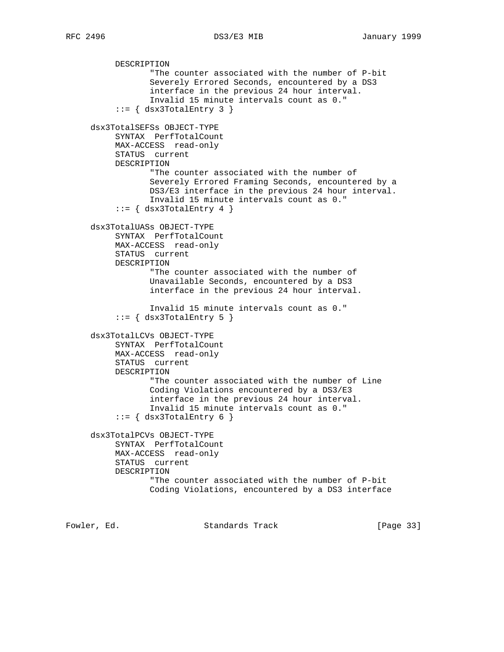DESCRIPTION "The counter associated with the number of P-bit Severely Errored Seconds, encountered by a DS3 interface in the previous 24 hour interval. Invalid 15 minute intervals count as 0."  $::=$  { dsx3TotalEntry 3 } dsx3TotalSEFSs OBJECT-TYPE SYNTAX PerfTotalCount MAX-ACCESS read-only STATUS current DESCRIPTION "The counter associated with the number of Severely Errored Framing Seconds, encountered by a DS3/E3 interface in the previous 24 hour interval. Invalid 15 minute intervals count as 0."  $::=$  { dsx3TotalEntry 4 } dsx3TotalUASs OBJECT-TYPE SYNTAX PerfTotalCount MAX-ACCESS read-only STATUS current DESCRIPTION "The counter associated with the number of Unavailable Seconds, encountered by a DS3 interface in the previous 24 hour interval. Invalid 15 minute intervals count as 0."  $::=$   $\{$  dsx3TotalEntry 5  $\}$  dsx3TotalLCVs OBJECT-TYPE SYNTAX PerfTotalCount MAX-ACCESS read-only STATUS current DESCRIPTION "The counter associated with the number of Line Coding Violations encountered by a DS3/E3 interface in the previous 24 hour interval. Invalid 15 minute intervals count as 0."  $::=$   $\{$  dsx3TotalEntry 6  $\}$  dsx3TotalPCVs OBJECT-TYPE SYNTAX PerfTotalCount MAX-ACCESS read-only STATUS current DESCRIPTION "The counter associated with the number of P-bit Coding Violations, encountered by a DS3 interface

Fowler, Ed. Standards Track [Page 33]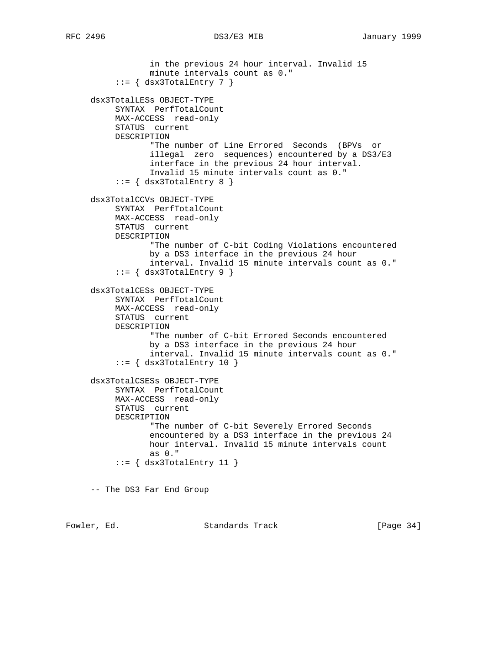```
 in the previous 24 hour interval. Invalid 15
             minute intervals count as 0."
     ::= { dsx3TotalEntry 7 }
 dsx3TotalLESs OBJECT-TYPE
      SYNTAX PerfTotalCount
      MAX-ACCESS read-only
      STATUS current
      DESCRIPTION
             "The number of Line Errored Seconds (BPVs or
             illegal zero sequences) encountered by a DS3/E3
             interface in the previous 24 hour interval.
             Invalid 15 minute intervals count as 0."
     ::= \{ dsx3TotalEntry 8 \} dsx3TotalCCVs OBJECT-TYPE
      SYNTAX PerfTotalCount
      MAX-ACCESS read-only
      STATUS current
      DESCRIPTION
             "The number of C-bit Coding Violations encountered
             by a DS3 interface in the previous 24 hour
             interval. Invalid 15 minute intervals count as 0."
     ::= \{ dsx3TotalEntry 9 \} dsx3TotalCESs OBJECT-TYPE
      SYNTAX PerfTotalCount
      MAX-ACCESS read-only
      STATUS current
      DESCRIPTION
             "The number of C-bit Errored Seconds encountered
             by a DS3 interface in the previous 24 hour
             interval. Invalid 15 minute intervals count as 0."
     ::= \{ dsx3TotalEntry 10 \} dsx3TotalCSESs OBJECT-TYPE
      SYNTAX PerfTotalCount
      MAX-ACCESS read-only
      STATUS current
      DESCRIPTION
             "The number of C-bit Severely Errored Seconds
             encountered by a DS3 interface in the previous 24
             hour interval. Invalid 15 minute intervals count
             as 0."
     ::= \{ dsx3TotalEntry 11 \} -- The DS3 Far End Group
```
Fowler, Ed. Standards Track [Page 34]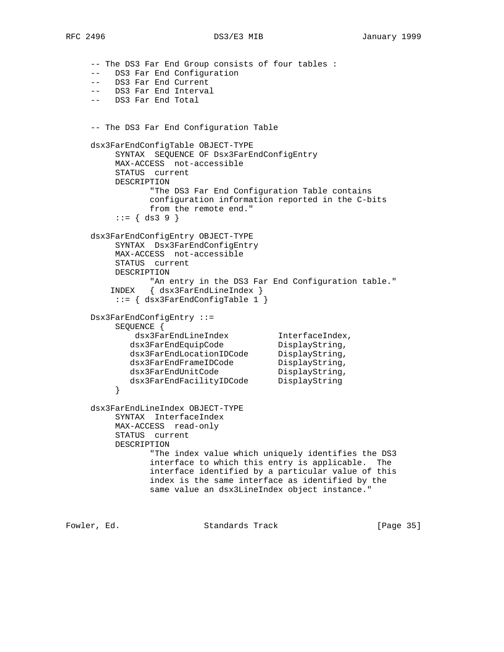-- The DS3 Far End Group consists of four tables : -- DS3 Far End Configuration -- DS3 Far End Current -- DS3 Far End Interval -- DS3 Far End Total -- The DS3 Far End Configuration Table dsx3FarEndConfigTable OBJECT-TYPE SYNTAX SEQUENCE OF Dsx3FarEndConfigEntry MAX-ACCESS not-accessible STATUS current DESCRIPTION "The DS3 Far End Configuration Table contains configuration information reported in the C-bits from the remote end."  $::= \{ ds3 9 \}$  dsx3FarEndConfigEntry OBJECT-TYPE SYNTAX Dsx3FarEndConfigEntry MAX-ACCESS not-accessible STATUS current DESCRIPTION "An entry in the DS3 Far End Configuration table." INDEX { dsx3FarEndLineIndex } ::= { dsx3FarEndConfigTable 1 } Dsx3FarEndConfigEntry ::= SEQUENCE { dsx3FarEndLineIndex InterfaceIndex, dsx3FarEndEquipCode DisplayString, dsx3FarEndLocationIDCode DisplayString, dsx3FarEndFrameIDCode DisplayString, dsx3FarEndUnitCode DisplayString, dsx3FarEndFacilityIDCode DisplayString } dsx3FarEndLineIndex OBJECT-TYPE SYNTAX InterfaceIndex MAX-ACCESS read-only STATUS current DESCRIPTION "The index value which uniquely identifies the DS3 interface to which this entry is applicable. The interface identified by a particular value of this index is the same interface as identified by the same value an dsx3LineIndex object instance."

Fowler, Ed. Standards Track [Page 35]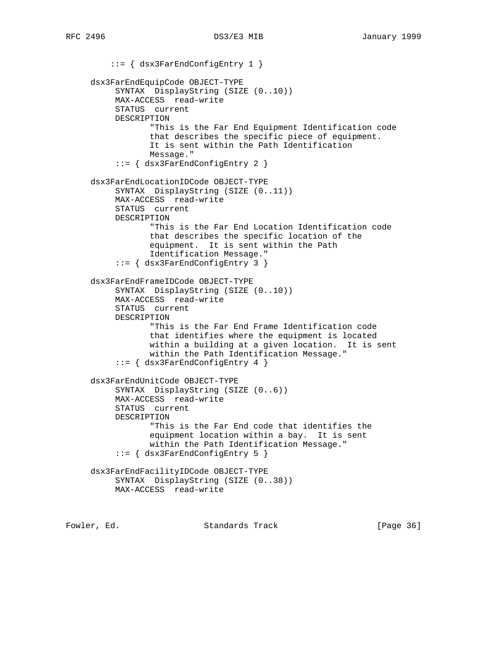::= { dsx3FarEndConfigEntry 1 } dsx3FarEndEquipCode OBJECT-TYPE SYNTAX DisplayString (SIZE (0..10)) MAX-ACCESS read-write STATUS current DESCRIPTION "This is the Far End Equipment Identification code that describes the specific piece of equipment. It is sent within the Path Identification Message." ::= { dsx3FarEndConfigEntry 2 } dsx3FarEndLocationIDCode OBJECT-TYPE SYNTAX DisplayString (SIZE (0..11)) MAX-ACCESS read-write STATUS current DESCRIPTION "This is the Far End Location Identification code that describes the specific location of the equipment. It is sent within the Path Identification Message." ::= { dsx3FarEndConfigEntry 3 } dsx3FarEndFrameIDCode OBJECT-TYPE SYNTAX DisplayString (SIZE (0..10)) MAX-ACCESS read-write STATUS current DESCRIPTION "This is the Far End Frame Identification code that identifies where the equipment is located within a building at a given location. It is sent within the Path Identification Message." ::= { dsx3FarEndConfigEntry 4 } dsx3FarEndUnitCode OBJECT-TYPE SYNTAX DisplayString (SIZE (0..6)) MAX-ACCESS read-write STATUS current DESCRIPTION "This is the Far End code that identifies the equipment location within a bay. It is sent within the Path Identification Message." ::= { dsx3FarEndConfigEntry 5 } dsx3FarEndFacilityIDCode OBJECT-TYPE SYNTAX DisplayString (SIZE (0..38)) MAX-ACCESS read-write

Fowler, Ed. Standards Track [Page 36]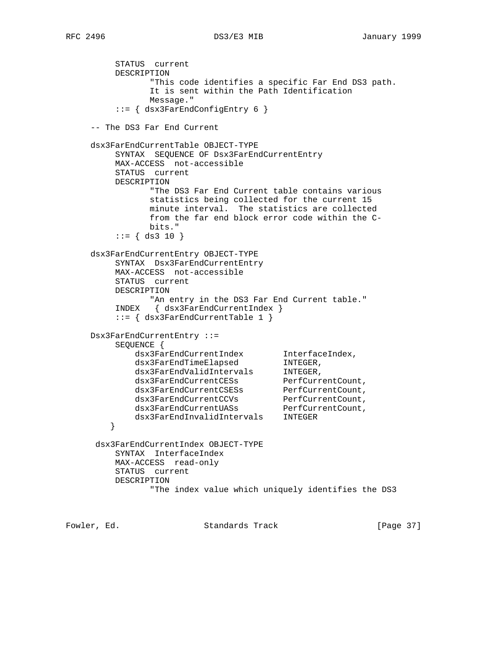STATUS current DESCRIPTION "This code identifies a specific Far End DS3 path. It is sent within the Path Identification Message." ::= { dsx3FarEndConfigEntry 6 } -- The DS3 Far End Current dsx3FarEndCurrentTable OBJECT-TYPE SYNTAX SEQUENCE OF Dsx3FarEndCurrentEntry MAX-ACCESS not-accessible STATUS current DESCRIPTION "The DS3 Far End Current table contains various statistics being collected for the current 15 minute interval. The statistics are collected from the far end block error code within the C bits."  $::=$  { ds3 10 } dsx3FarEndCurrentEntry OBJECT-TYPE SYNTAX Dsx3FarEndCurrentEntry MAX-ACCESS not-accessible STATUS current DESCRIPTION "An entry in the DS3 Far End Current table." INDEX { dsx3FarEndCurrentIndex } ::= { dsx3FarEndCurrentTable 1 } Dsx3FarEndCurrentEntry ::= SEQUENCE { dsx3FarEndCurrentIndex InterfaceIndex, dsx3FarEndTimeElapsed INTEGER, dsx3FarEndValidIntervals INTEGER, dsx3FarEndCurrentCESs PerfCurrentCount, dsx3FarEndCurrentCSESs PerfCurrentCount, dsx3FarEndCurrentCCVs PerfCurrentCount, dsx3FarEndCurrentUASs PerfCurrentCount, dsx3FarEndInvalidIntervals INTEGER } dsx3FarEndCurrentIndex OBJECT-TYPE SYNTAX InterfaceIndex MAX-ACCESS read-only STATUS current DESCRIPTION "The index value which uniquely identifies the DS3

Fowler, Ed. Standards Track [Page 37]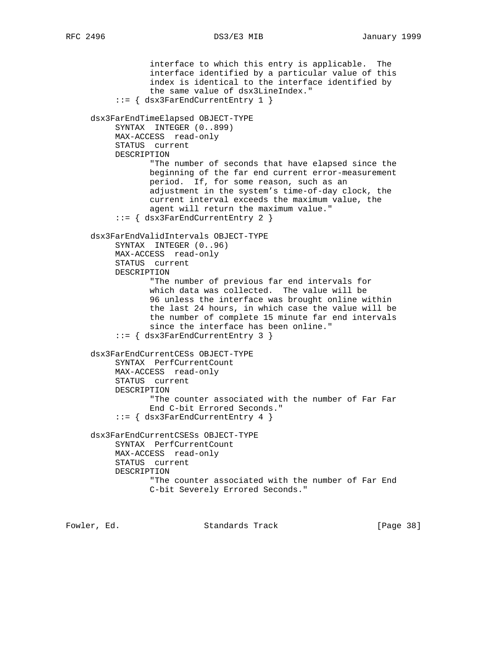interface to which this entry is applicable. The interface identified by a particular value of this index is identical to the interface identified by the same value of dsx3LineIndex." ::= { dsx3FarEndCurrentEntry 1 } dsx3FarEndTimeElapsed OBJECT-TYPE SYNTAX INTEGER (0..899) MAX-ACCESS read-only STATUS current DESCRIPTION "The number of seconds that have elapsed since the beginning of the far end current error-measurement period. If, for some reason, such as an adjustment in the system's time-of-day clock, the current interval exceeds the maximum value, the agent will return the maximum value." ::= { dsx3FarEndCurrentEntry 2 } dsx3FarEndValidIntervals OBJECT-TYPE SYNTAX INTEGER (0..96) MAX-ACCESS read-only STATUS current DESCRIPTION "The number of previous far end intervals for which data was collected. The value will be 96 unless the interface was brought online within the last 24 hours, in which case the value will be the number of complete 15 minute far end intervals since the interface has been online." ::= { dsx3FarEndCurrentEntry 3 } dsx3FarEndCurrentCESs OBJECT-TYPE SYNTAX PerfCurrentCount MAX-ACCESS read-only STATUS current DESCRIPTION "The counter associated with the number of Far Far End C-bit Errored Seconds." ::= { dsx3FarEndCurrentEntry 4 } dsx3FarEndCurrentCSESs OBJECT-TYPE SYNTAX PerfCurrentCount MAX-ACCESS read-only STATUS current DESCRIPTION "The counter associated with the number of Far End C-bit Severely Errored Seconds."

Fowler, Ed. Standards Track [Page 38]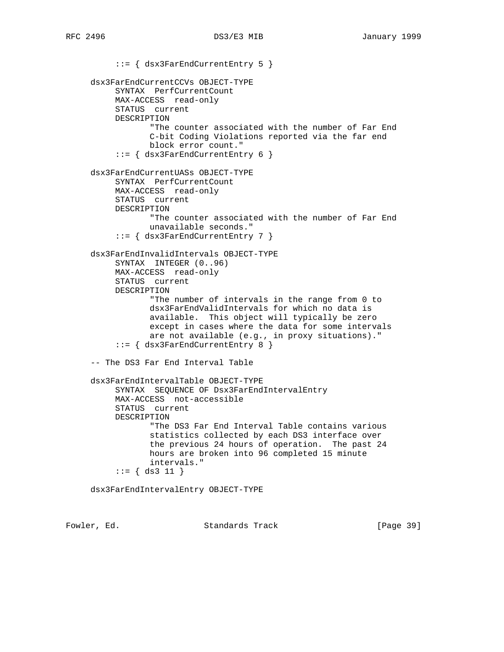::= { dsx3FarEndCurrentEntry 5 } dsx3FarEndCurrentCCVs OBJECT-TYPE SYNTAX PerfCurrentCount MAX-ACCESS read-only STATUS current DESCRIPTION "The counter associated with the number of Far End C-bit Coding Violations reported via the far end block error count." ::= { dsx3FarEndCurrentEntry 6 } dsx3FarEndCurrentUASs OBJECT-TYPE SYNTAX PerfCurrentCount MAX-ACCESS read-only STATUS current DESCRIPTION "The counter associated with the number of Far End unavailable seconds." ::= { dsx3FarEndCurrentEntry 7 } dsx3FarEndInvalidIntervals OBJECT-TYPE SYNTAX INTEGER (0..96) MAX-ACCESS read-only STATUS current DESCRIPTION "The number of intervals in the range from 0 to dsx3FarEndValidIntervals for which no data is available. This object will typically be zero except in cases where the data for some intervals are not available (e.g., in proxy situations)." ::= { dsx3FarEndCurrentEntry 8 } -- The DS3 Far End Interval Table dsx3FarEndIntervalTable OBJECT-TYPE SYNTAX SEQUENCE OF Dsx3FarEndIntervalEntry MAX-ACCESS not-accessible STATUS current DESCRIPTION "The DS3 Far End Interval Table contains various statistics collected by each DS3 interface over the previous 24 hours of operation. The past 24 hours are broken into 96 completed 15 minute intervals." ::= { ds3 11 } dsx3FarEndIntervalEntry OBJECT-TYPE

Fowler, Ed. Standards Track [Page 39]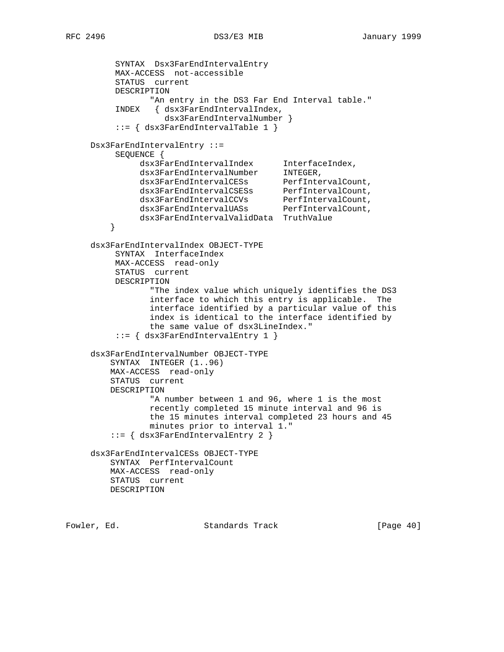SYNTAX Dsx3FarEndIntervalEntry MAX-ACCESS not-accessible STATUS current DESCRIPTION "An entry in the DS3 Far End Interval table." INDEX { dsx3FarEndIntervalIndex, dsx3FarEndIntervalNumber } ::= { dsx3FarEndIntervalTable 1 } Dsx3FarEndIntervalEntry ::= SEQUENCE { dsx3FarEndIntervalIndex InterfaceIndex, dsx3FarEndIntervalNumber INTEGER, dsx3FarEndIntervalCESs PerfIntervalCount, dsx3FarEndIntervalCSESs PerfIntervalCount, dsx3FarEndIntervalCCVs PerfIntervalCount, dsx3FarEndIntervalUASs PerfIntervalCount, dsx3FarEndIntervalValidData TruthValue } dsx3FarEndIntervalIndex OBJECT-TYPE SYNTAX InterfaceIndex MAX-ACCESS read-only STATUS current DESCRIPTION "The index value which uniquely identifies the DS3 interface to which this entry is applicable. The interface identified by a particular value of this index is identical to the interface identified by the same value of dsx3LineIndex." ::= { dsx3FarEndIntervalEntry 1 } dsx3FarEndIntervalNumber OBJECT-TYPE SYNTAX INTEGER (1..96) MAX-ACCESS read-only STATUS current DESCRIPTION "A number between 1 and 96, where 1 is the most recently completed 15 minute interval and 96 is the 15 minutes interval completed 23 hours and 45 minutes prior to interval 1." ::= { dsx3FarEndIntervalEntry 2 } dsx3FarEndIntervalCESs OBJECT-TYPE SYNTAX PerfIntervalCount MAX-ACCESS read-only STATUS current DESCRIPTION

Fowler, Ed. Standards Track [Page 40]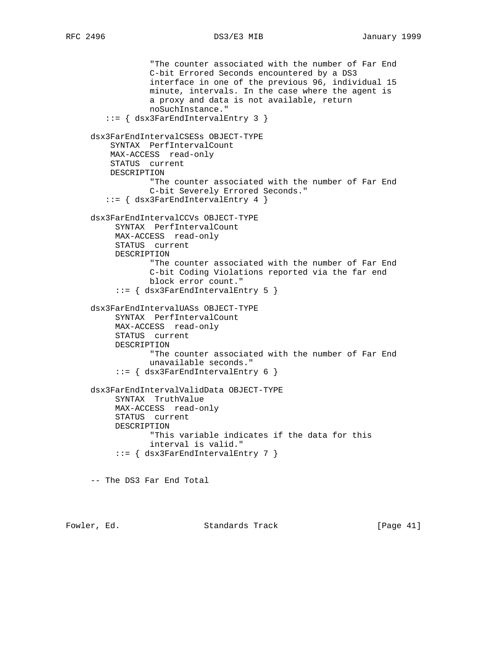"The counter associated with the number of Far End C-bit Errored Seconds encountered by a DS3 interface in one of the previous 96, individual 15 minute, intervals. In the case where the agent is a proxy and data is not available, return noSuchInstance." ::= { dsx3FarEndIntervalEntry 3 } dsx3FarEndIntervalCSESs OBJECT-TYPE SYNTAX PerfIntervalCount MAX-ACCESS read-only STATUS current DESCRIPTION "The counter associated with the number of Far End C-bit Severely Errored Seconds." ::= { dsx3FarEndIntervalEntry 4 } dsx3FarEndIntervalCCVs OBJECT-TYPE SYNTAX PerfIntervalCount MAX-ACCESS read-only STATUS current DESCRIPTION "The counter associated with the number of Far End C-bit Coding Violations reported via the far end block error count." ::= { dsx3FarEndIntervalEntry 5 } dsx3FarEndIntervalUASs OBJECT-TYPE SYNTAX PerfIntervalCount MAX-ACCESS read-only STATUS current DESCRIPTION "The counter associated with the number of Far End unavailable seconds." ::= { dsx3FarEndIntervalEntry 6 } dsx3FarEndIntervalValidData OBJECT-TYPE SYNTAX TruthValue MAX-ACCESS read-only STATUS current DESCRIPTION "This variable indicates if the data for this interval is valid."  $::=$   $\{$  dsx3FarEndIntervalEntry 7  $\}$ -- The DS3 Far End Total

Fowler, Ed. Standards Track [Page 41]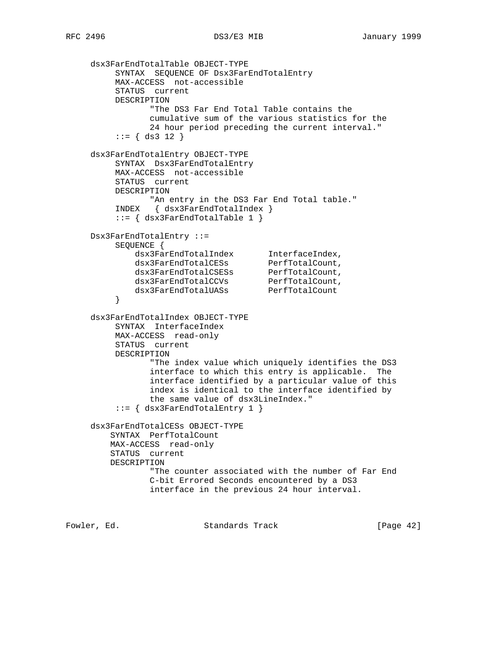```
 dsx3FarEndTotalTable OBJECT-TYPE
          SYNTAX SEQUENCE OF Dsx3FarEndTotalEntry
          MAX-ACCESS not-accessible
          STATUS current
          DESCRIPTION
                "The DS3 Far End Total Table contains the
                cumulative sum of the various statistics for the
                24 hour period preceding the current interval."
         ::= { ds3 12 }
     dsx3FarEndTotalEntry OBJECT-TYPE
         SYNTAX Dsx3FarEndTotalEntry
          MAX-ACCESS not-accessible
          STATUS current
          DESCRIPTION
                "An entry in the DS3 Far End Total table."
         INDEX { dsx3FarEndTotalIndex }
          ::= { dsx3FarEndTotalTable 1 }
     Dsx3FarEndTotalEntry ::=
          SEQUENCE {
 dsx3FarEndTotalIndex InterfaceIndex,
dsx3FarEndTotalCESs PerfTotalCount,
dsx3FarEndTotalCSESs PerfTotalCount,
dsx3FarEndTotalCCVs PerfTotalCount,
dsx3FarEndTotalUASs PerfTotalCount
 }
     dsx3FarEndTotalIndex OBJECT-TYPE
          SYNTAX InterfaceIndex
          MAX-ACCESS read-only
         STATUS current
         DESCRIPTION
                "The index value which uniquely identifies the DS3
                interface to which this entry is applicable. The
                interface identified by a particular value of this
                index is identical to the interface identified by
                the same value of dsx3LineIndex."
          ::= { dsx3FarEndTotalEntry 1 }
     dsx3FarEndTotalCESs OBJECT-TYPE
         SYNTAX PerfTotalCount
         MAX-ACCESS read-only
         STATUS current
         DESCRIPTION
                "The counter associated with the number of Far End
                C-bit Errored Seconds encountered by a DS3
                interface in the previous 24 hour interval.
```
Fowler, Ed. Standards Track [Page 42]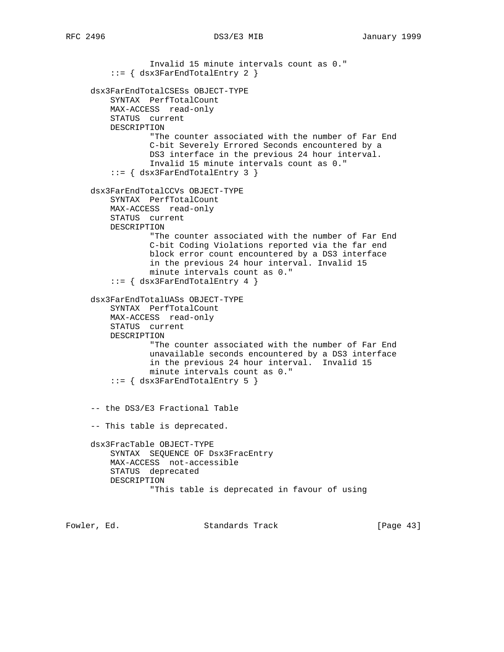Invalid 15 minute intervals count as 0." ::= { dsx3FarEndTotalEntry 2 } dsx3FarEndTotalCSESs OBJECT-TYPE SYNTAX PerfTotalCount MAX-ACCESS read-only STATUS current DESCRIPTION "The counter associated with the number of Far End C-bit Severely Errored Seconds encountered by a DS3 interface in the previous 24 hour interval. Invalid 15 minute intervals count as 0." ::= { dsx3FarEndTotalEntry 3 } dsx3FarEndTotalCCVs OBJECT-TYPE SYNTAX PerfTotalCount MAX-ACCESS read-only STATUS current DESCRIPTION "The counter associated with the number of Far End C-bit Coding Violations reported via the far end block error count encountered by a DS3 interface in the previous 24 hour interval. Invalid 15 minute intervals count as 0." ::= { dsx3FarEndTotalEntry 4 } dsx3FarEndTotalUASs OBJECT-TYPE SYNTAX PerfTotalCount MAX-ACCESS read-only STATUS current DESCRIPTION "The counter associated with the number of Far End unavailable seconds encountered by a DS3 interface in the previous 24 hour interval. Invalid 15 minute intervals count as 0." ::= { dsx3FarEndTotalEntry 5 } -- the DS3/E3 Fractional Table -- This table is deprecated. dsx3FracTable OBJECT-TYPE SYNTAX SEQUENCE OF Dsx3FracEntry MAX-ACCESS not-accessible STATUS deprecated DESCRIPTION "This table is deprecated in favour of using

Fowler, Ed. Standards Track [Page 43]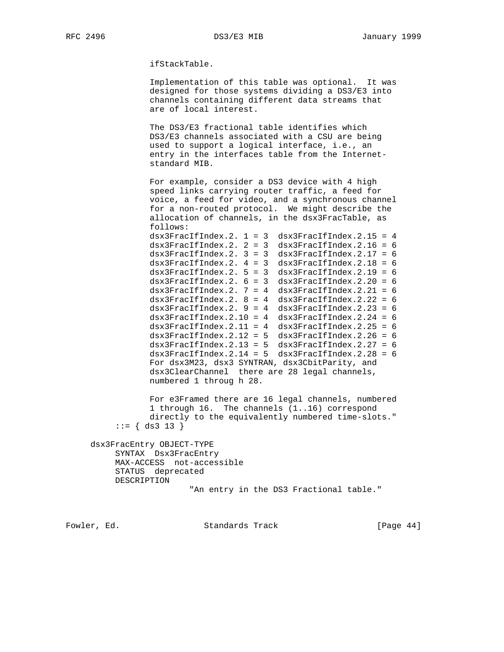ifStackTable.

 Implementation of this table was optional. It was designed for those systems dividing a DS3/E3 into channels containing different data streams that are of local interest.

 The DS3/E3 fractional table identifies which DS3/E3 channels associated with a CSU are being used to support a logical interface, i.e., an entry in the interfaces table from the Internet standard MIB.

 For example, consider a DS3 device with 4 high speed links carrying router traffic, a feed for voice, a feed for video, and a synchronous channel for a non-routed protocol. We might describe the allocation of channels, in the dsx3FracTable, as follows:  $dsx3FracIfIndex.2. 1 = 3 dsx3FracIfIndex.2.15 = 4$  $dsx3FracIfIndex.2. 2 = 3 dsx3FracIfIndex.2.16 = 6$  $dsx3FracIfIndex.2. 3 = 3 dsx3FracIfIndex.2.17 = 6$  $dsx3FracIfIndex.2. 4 = 3 dsx3FracIfIndex.2.18 = 6$  $dsx3FracIfIndex.2. 5 = 3 dsx3FracIfIndex.2.19 = 6$  $dsx3FracIfIndex.2. 6 = 3 dsx3FracIfIndex.2.20 = 6$  $dx3FracIfIndex.2. 7 = 4$   $dx3FracIfIndex.2.21 = 6$  $dsx3FracIfIndex.2. 8 = 4$   $dsx3FracIfIndex.2.22 = 6$  $dx3FracIfIndex.2. 9 = 4$   $dx3FracIfIndex.2.23 = 6$  $dx3FracIfIndex.2.10 = 4$   $dx3FracIfIndex.2.24 = 6$  $dsx3FracIfIndex.2.11 = 4$   $dsx3FracIfIndex.2.25 = 6$  $dsx3FracIfIndex.2.12 = 5$   $dsx3FracIfIndex.2.26 = 6$  $dsx3FracIfIndex.2.13 = 5$   $dsx3FracIfIndex.2.27 = 6$  $dsx3FracIfIndex.2.14 = 5$   $dsx3FracIfIndex.2.28 = 6$  For dsx3M23, dsx3 SYNTRAN, dsx3CbitParity, and dsx3ClearChannel there are 28 legal channels, numbered 1 throug h 28.

> For e3Framed there are 16 legal channels, numbered 1 through 16. The channels (1..16) correspond directly to the equivalently numbered time-slots."  $::= \{ ds3 13 \}$

 dsx3FracEntry OBJECT-TYPE SYNTAX Dsx3FracEntry MAX-ACCESS not-accessible STATUS deprecated DESCRIPTION "An entry in the DS3 Fractional table."

Fowler, Ed. Standards Track [Page 44]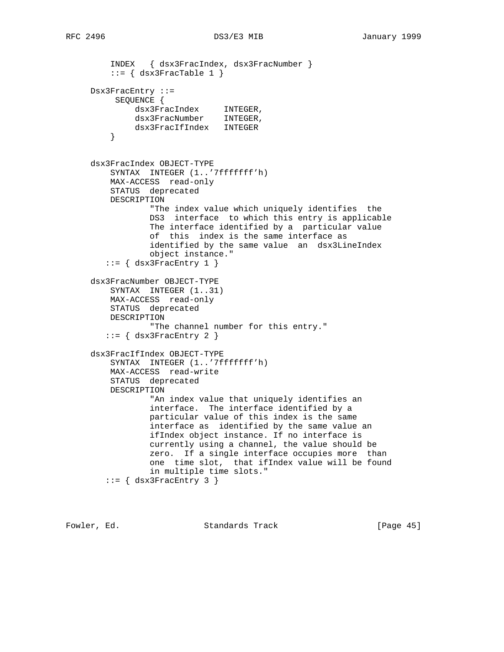INDEX { dsx3FracIndex, dsx3FracNumber }  $::=$  { dsx3FracTable 1 } Dsx3FracEntry ::= SEQUENCE { dsx3FracIndex INTEGER, dsx3FracNumber INTEGER, dsx3FracIfIndex INTEGER<br>} } dsx3FracIndex OBJECT-TYPE SYNTAX INTEGER (1..'7fffffff'h) MAX-ACCESS read-only STATUS deprecated DESCRIPTION "The index value which uniquely identifies the DS3 interface to which this entry is applicable The interface identified by a particular value of this index is the same interface as identified by the same value an dsx3LineIndex object instance."  $::=$  { dsx3FracEntry 1 } dsx3FracNumber OBJECT-TYPE SYNTAX INTEGER (1..31) MAX-ACCESS read-only STATUS deprecated DESCRIPTION "The channel number for this entry."  $::=$  { dsx3FracEntry 2 } dsx3FracIfIndex OBJECT-TYPE SYNTAX INTEGER (1..'7fffffff'h) MAX-ACCESS read-write STATUS deprecated DESCRIPTION "An index value that uniquely identifies an interface. The interface identified by a particular value of this index is the same interface as identified by the same value an ifIndex object instance. If no interface is currently using a channel, the value should be zero. If a single interface occupies more than one time slot, that ifIndex value will be found in multiple time slots."  $::=$   $\{$  dsx3FracEntry 3  $\}$ 

Fowler, Ed. Standards Track [Page 45]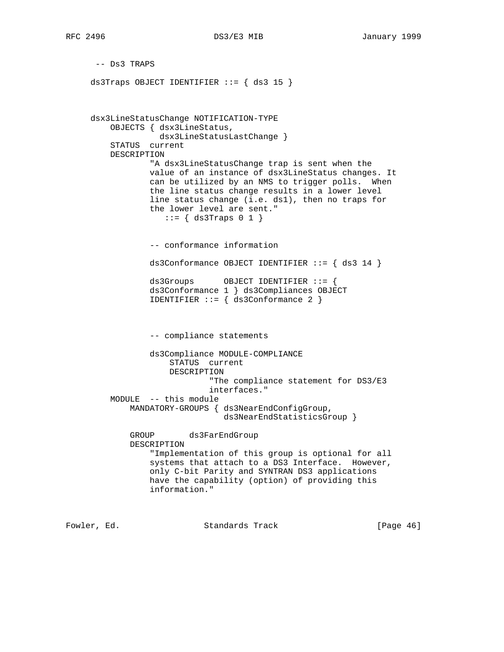-- Ds3 TRAPS ds3Traps OBJECT IDENTIFIER  $::=$   $\{$  ds3 15  $\}$  dsx3LineStatusChange NOTIFICATION-TYPE OBJECTS { dsx3LineStatus, dsx3LineStatusLastChange } STATUS current DESCRIPTION "A dsx3LineStatusChange trap is sent when the value of an instance of dsx3LineStatus changes. It can be utilized by an NMS to trigger polls. When the line status change results in a lower level line status change (i.e. ds1), then no traps for the lower level are sent."  $::=$   $\{$  ds3Traps 0 1  $\}$  -- conformance information ds3Conformance OBJECT IDENTIFIER ::= { ds3 14 } ds3Groups OBJECT IDENTIFIER ::= { ds3Conformance 1 } ds3Compliances OBJECT IDENTIFIER  $::= \{ ds3 \text{Conformance} 2 \}$  -- compliance statements ds3Compliance MODULE-COMPLIANCE STATUS current DESCRIPTION "The compliance statement for DS3/E3 interfaces." MODULE -- this module MANDATORY-GROUPS { ds3NearEndConfigGroup, ds3NearEndStatisticsGroup } GROUP ds3FarEndGroup DESCRIPTION "Implementation of this group is optional for all systems that attach to a DS3 Interface. However, only C-bit Parity and SYNTRAN DS3 applications have the capability (option) of providing this information."

Fowler, Ed. Standards Track [Page 46]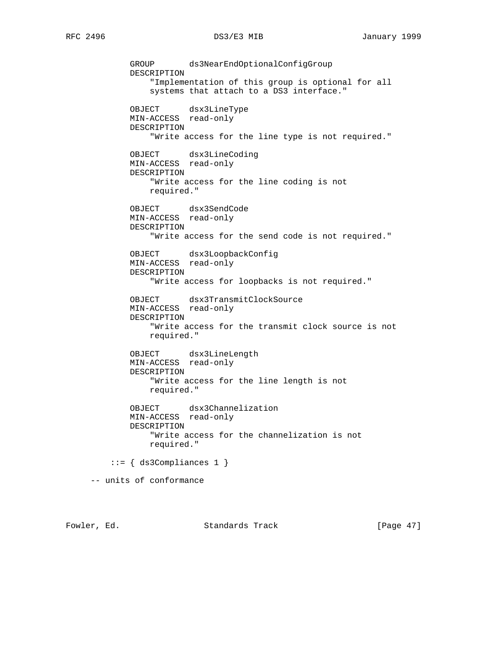GROUP ds3NearEndOptionalConfigGroup DESCRIPTION "Implementation of this group is optional for all systems that attach to a DS3 interface." OBJECT dsx3LineType MIN-ACCESS read-only DESCRIPTION "Write access for the line type is not required." OBJECT dsx3LineCoding MIN-ACCESS read-only DESCRIPTION "Write access for the line coding is not required." OBJECT dsx3SendCode MIN-ACCESS read-only DESCRIPTION "Write access for the send code is not required." OBJECT dsx3LoopbackConfig MIN-ACCESS read-only DESCRIPTION "Write access for loopbacks is not required." OBJECT dsx3TransmitClockSource MIN-ACCESS read-only DESCRIPTION "Write access for the transmit clock source is not required." OBJECT dsx3LineLength MIN-ACCESS read-only DESCRIPTION "Write access for the line length is not required." OBJECT dsx3Channelization MIN-ACCESS read-only DESCRIPTION "Write access for the channelization is not required."  $::=$  { ds3Compliances 1 } -- units of conformance

Fowler, Ed. Standards Track [Page 47]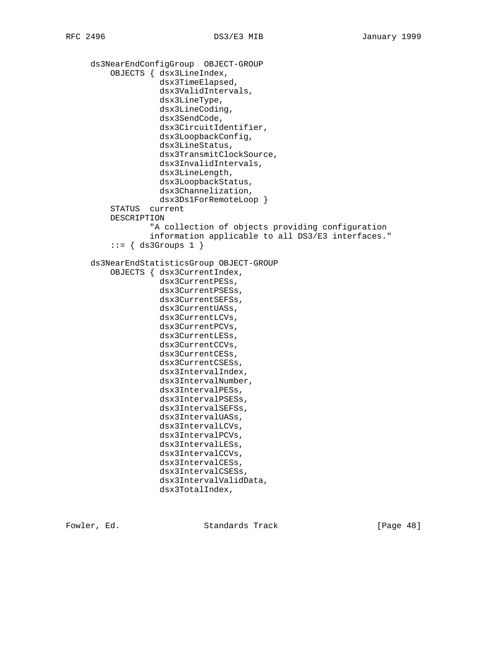ds3NearEndConfigGroup OBJECT-GROUP OBJECTS { dsx3LineIndex, dsx3TimeElapsed, dsx3ValidIntervals, dsx3LineType, dsx3LineCoding, dsx3SendCode, dsx3CircuitIdentifier, dsx3LoopbackConfig, dsx3LineStatus, dsx3TransmitClockSource, dsx3InvalidIntervals, dsx3LineLength, dsx3LoopbackStatus, dsx3Channelization, dsx3Ds1ForRemoteLoop } STATUS current DESCRIPTION "A collection of objects providing configuration information applicable to all DS3/E3 interfaces."  $::=$   $\{$  ds3Groups 1  $\}$  ds3NearEndStatisticsGroup OBJECT-GROUP OBJECTS { dsx3CurrentIndex, dsx3CurrentPESs, dsx3CurrentPSESs, dsx3CurrentSEFSs, dsx3CurrentUASs, dsx3CurrentLCVs, dsx3CurrentPCVs, dsx3CurrentLESs, dsx3CurrentCCVs, dsx3CurrentCESs, dsx3CurrentCSESs, dsx3IntervalIndex, dsx3IntervalNumber, dsx3IntervalPESs, dsx3IntervalPSESs, dsx3IntervalSEFSs, dsx3IntervalUASs, dsx3IntervalLCVs, dsx3IntervalPCVs, dsx3IntervalLESs, dsx3IntervalCCVs, dsx3IntervalCESs, dsx3IntervalCSESs, dsx3IntervalValidData, dsx3TotalIndex,

Fowler, Ed. Standards Track [Page 48]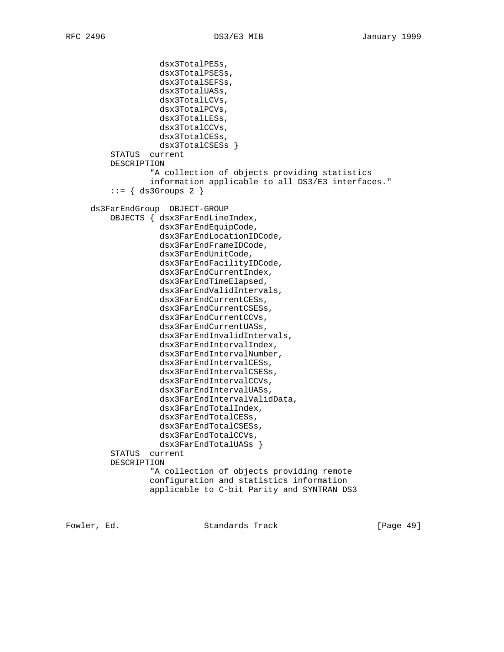dsx3TotalPESs, dsx3TotalPSESs, dsx3TotalSEFSs, dsx3TotalUASs, dsx3TotalLCVs, dsx3TotalPCVs, dsx3TotalLESs, dsx3TotalCCVs, dsx3TotalCESs, dsx3TotalCSESs } STATUS current DESCRIPTION "A collection of objects providing statistics information applicable to all DS3/E3 interfaces."  $::=$  { ds3Groups 2 } ds3FarEndGroup OBJECT-GROUP OBJECTS { dsx3FarEndLineIndex, dsx3FarEndEquipCode, dsx3FarEndLocationIDCode, dsx3FarEndFrameIDCode, dsx3FarEndUnitCode, dsx3FarEndFacilityIDCode, dsx3FarEndCurrentIndex, dsx3FarEndTimeElapsed, dsx3FarEndValidIntervals, dsx3FarEndCurrentCESs, dsx3FarEndCurrentCSESs, dsx3FarEndCurrentCCVs, dsx3FarEndCurrentUASs, dsx3FarEndInvalidIntervals, dsx3FarEndIntervalIndex, dsx3FarEndIntervalNumber, dsx3FarEndIntervalCESs, dsx3FarEndIntervalCSESs, dsx3FarEndIntervalCCVs, dsx3FarEndIntervalUASs, dsx3FarEndIntervalValidData, dsx3FarEndTotalIndex, dsx3FarEndTotalCESs, dsx3FarEndTotalCSESs, dsx3FarEndTotalCCVs, dsx3FarEndTotalUASs } STATUS current DESCRIPTION "A collection of objects providing remote configuration and statistics information applicable to C-bit Parity and SYNTRAN DS3

Fowler, Ed. Standards Track [Page 49]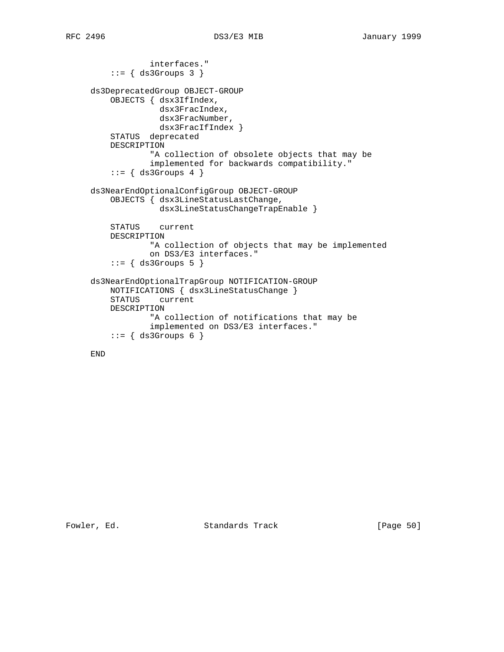```
 interfaces."
     ::= { ds3Groups 3 }
 ds3DeprecatedGroup OBJECT-GROUP
     OBJECTS { dsx3IfIndex,
               dsx3FracIndex,
               dsx3FracNumber,
               dsx3FracIfIndex }
     STATUS deprecated
     DESCRIPTION
             "A collection of obsolete objects that may be
             implemented for backwards compatibility."
     ::= { ds3Groups 4 }
 ds3NearEndOptionalConfigGroup OBJECT-GROUP
     OBJECTS { dsx3LineStatusLastChange,
               dsx3LineStatusChangeTrapEnable }
    STATUS current
     DESCRIPTION
             "A collection of objects that may be implemented
             on DS3/E3 interfaces."
     ::= { ds3Groups 5 }
 ds3NearEndOptionalTrapGroup NOTIFICATION-GROUP
    NOTIFICATIONS { dsx3LineStatusChange }
     STATUS current
     DESCRIPTION
             "A collection of notifications that may be
             implemented on DS3/E3 interfaces."
    ::= \{ ds3Groups 6 \}
```

```
 END
```
Fowler, Ed. Standards Track [Page 50]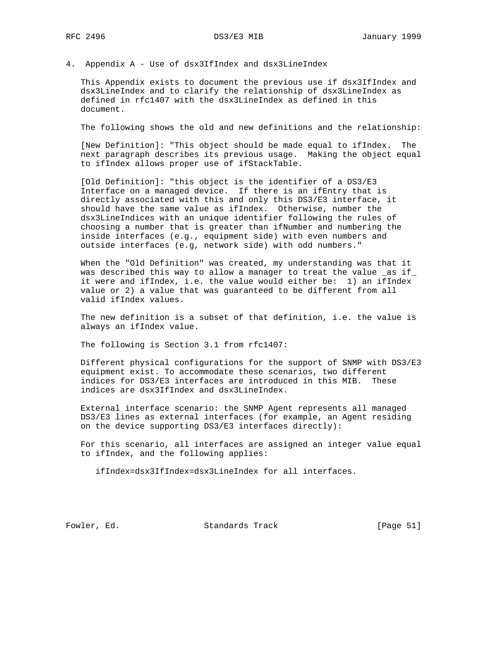4. Appendix A - Use of dsx3IfIndex and dsx3LineIndex

 This Appendix exists to document the previous use if dsx3IfIndex and dsx3LineIndex and to clarify the relationship of dsx3LineIndex as defined in rfc1407 with the dsx3LineIndex as defined in this document.

The following shows the old and new definitions and the relationship:

 [New Definition]: "This object should be made equal to ifIndex. The next paragraph describes its previous usage. Making the object equal to ifIndex allows proper use of ifStackTable.

 [Old Definition]: "this object is the identifier of a DS3/E3 Interface on a managed device. If there is an ifEntry that is directly associated with this and only this DS3/E3 interface, it should have the same value as ifIndex. Otherwise, number the dsx3LineIndices with an unique identifier following the rules of choosing a number that is greater than ifNumber and numbering the inside interfaces (e.g., equipment side) with even numbers and outside interfaces (e.g, network side) with odd numbers."

 When the "Old Definition" was created, my understanding was that it was described this way to allow a manager to treat the value \_as if\_ it were and ifIndex, i.e. the value would either be: 1) an ifIndex value or 2) a value that was guaranteed to be different from all valid ifIndex values.

 The new definition is a subset of that definition, i.e. the value is always an ifIndex value.

The following is Section 3.1 from rfc1407:

 Different physical configurations for the support of SNMP with DS3/E3 equipment exist. To accommodate these scenarios, two different indices for DS3/E3 interfaces are introduced in this MIB. These indices are dsx3IfIndex and dsx3LineIndex.

 External interface scenario: the SNMP Agent represents all managed DS3/E3 lines as external interfaces (for example, an Agent residing on the device supporting DS3/E3 interfaces directly):

 For this scenario, all interfaces are assigned an integer value equal to ifIndex, and the following applies:

ifIndex=dsx3IfIndex=dsx3LineIndex for all interfaces.

Fowler, Ed. Standards Track [Page 51]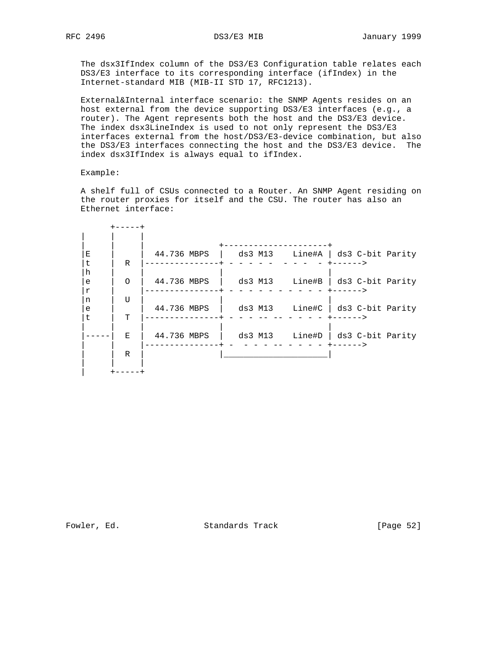The dsx3IfIndex column of the DS3/E3 Configuration table relates each DS3/E3 interface to its corresponding interface (ifIndex) in the Internet-standard MIB (MIB-II STD 17, RFC1213).

 External&Internal interface scenario: the SNMP Agents resides on an host external from the device supporting DS3/E3 interfaces (e.g., a router). The Agent represents both the host and the DS3/E3 device. The index dsx3LineIndex is used to not only represent the DS3/E3 interfaces external from the host/DS3/E3-device combination, but also the DS3/E3 interfaces connecting the host and the DS3/E3 device. The index dsx3IfIndex is always equal to ifIndex.

Example:

 A shelf full of CSUs connected to a Router. An SNMP Agent residing on the router proxies for itself and the CSU. The router has also an Ethernet interface:

| E<br>t                   | $\mathsf{R}$   | 44.736 MBPS |         |        | ds3 M13 Line#A   ds3 C-bit Parity |
|--------------------------|----------------|-------------|---------|--------|-----------------------------------|
| h<br>e<br>$\,$ $\,$ $\,$ | $\Omega$       | 44.736 MBPS | ds3 M13 | Line#B | ds3 C-bit Parity                  |
| n<br>e<br>t.             | τT<br><b>T</b> | 44.736 MBPS |         |        | ds3 M13 Line#C   ds3 C-bit Parity |
|                          | E.             | 44.736 MBPS | ds3 M13 |        | Line#D   ds3 C-bit Parity         |
|                          | R              |             |         |        |                                   |
|                          |                |             |         |        |                                   |

Fowler, Ed. Standards Track [Page 52]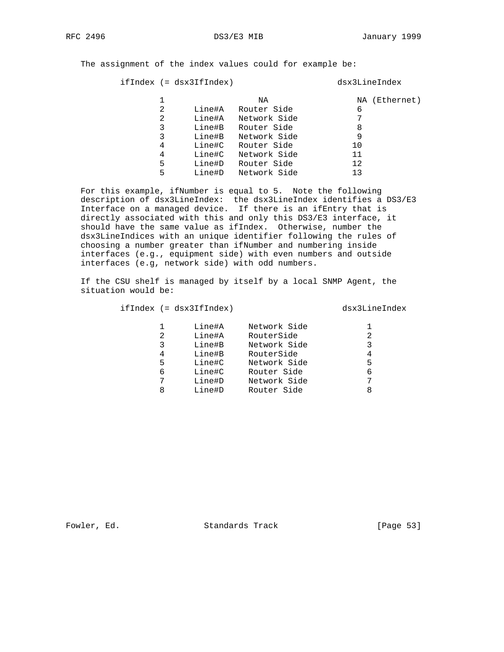The assignment of the index values could for example be:

ifIndex (= dsx3IfIndex) dsx3LineIndex

|   |        | NA           | NA (Ethernet) |
|---|--------|--------------|---------------|
| 2 | Line#A | Router Side  | 6             |
| 2 | Line#A | Network Side | 7             |
| 3 | Line#B | Router Side  | 8             |
| 3 | Line#B | Network Side | 9             |
| 4 | Line#C | Router Side  | 10            |
| 4 | Line#C | Network Side | 11            |
| 5 | Line#D | Router Side  | 12            |
| 5 | Line#D | Network Side | 1 ว           |
|   |        |              |               |

 For this example, ifNumber is equal to 5. Note the following description of dsx3LineIndex: the dsx3LineIndex identifies a DS3/E3 Interface on a managed device. If there is an ifEntry that is directly associated with this and only this DS3/E3 interface, it should have the same value as ifIndex. Otherwise, number the dsx3LineIndices with an unique identifier following the rules of choosing a number greater than ifNumber and numbering inside interfaces (e.g., equipment side) with even numbers and outside interfaces (e.g, network side) with odd numbers.

 If the CSU shelf is managed by itself by a local SNMP Agent, the situation would be:

ifIndex (= dsx3IfIndex) dsx3LineIndex

| 2<br>3<br>4<br>5<br>6<br>8 | Line#A<br>Line#A<br>Line#B<br>Line#B<br>Line#C<br>Line#C<br>Line#D<br>Line#D | Network Side<br>RouterSide<br>Network Side<br>RouterSide<br>Network Side<br>Router Side<br>Network Side<br>Router Side | 5<br>6 |
|----------------------------|------------------------------------------------------------------------------|------------------------------------------------------------------------------------------------------------------------|--------|
|----------------------------|------------------------------------------------------------------------------|------------------------------------------------------------------------------------------------------------------------|--------|

Fowler, Ed. Standards Track [Page 53]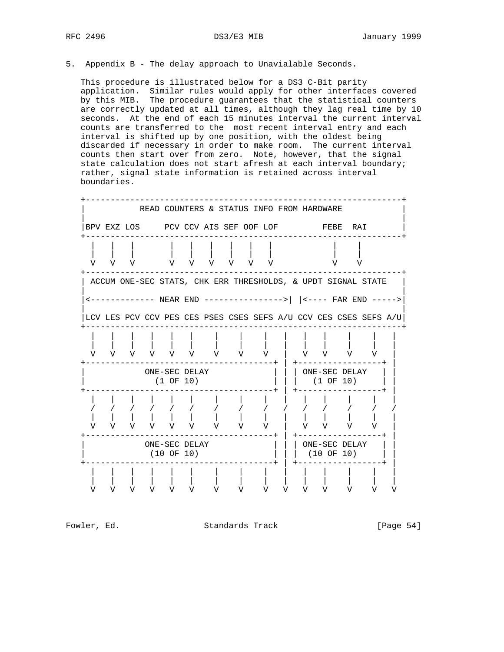5. Appendix B - The delay approach to Unavialable Seconds.

 This procedure is illustrated below for a DS3 C-Bit parity application. Similar rules would apply for other interfaces covered by this MIB. The procedure guarantees that the statistical counters are correctly updated at all times, although they lag real time by 10 seconds. At the end of each 15 minutes interval the current interval counts are transferred to the most recent interval entry and each interval is shifted up by one position, with the oldest being discarded if necessary in order to make room. The current interval counts then start over from zero. Note, however, that the signal state calculation does not start afresh at each interval boundary; rather, signal state information is retained across interval boundaries.



Fowler, Ed. Standards Track [Page 54]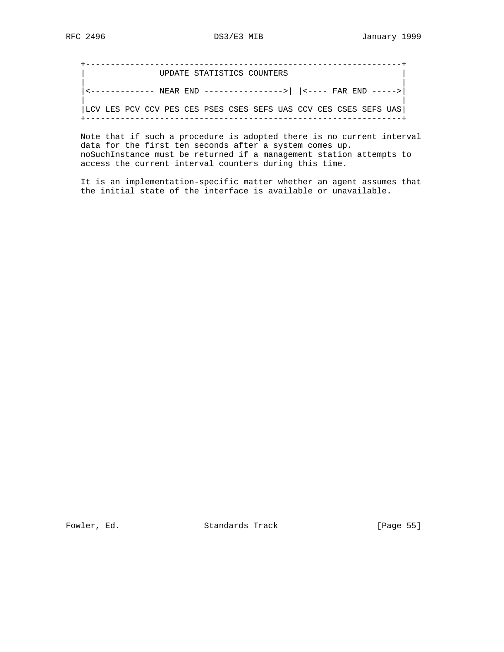+----------------------------------------------------------------+ UPDATE STATISTICS COUNTERS | | |<------------- NEAR END ---------------->| |<---- FAR END ----->| | | |LCV LES PCV CCV PES CES PSES CSES SEFS UAS CCV CES CSES SEFS UAS| +----------------------------------------------------------------+

 Note that if such a procedure is adopted there is no current interval data for the first ten seconds after a system comes up. noSuchInstance must be returned if a management station attempts to access the current interval counters during this time.

 It is an implementation-specific matter whether an agent assumes that the initial state of the interface is available or unavailable.

Fowler, Ed. Standards Track [Page 55]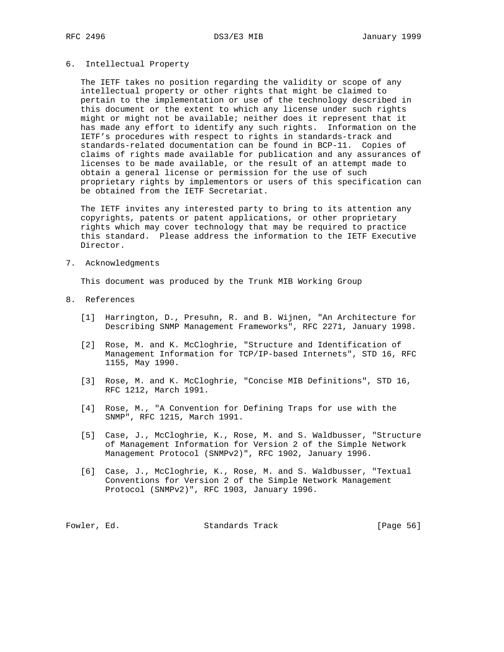### 6. Intellectual Property

 The IETF takes no position regarding the validity or scope of any intellectual property or other rights that might be claimed to pertain to the implementation or use of the technology described in this document or the extent to which any license under such rights might or might not be available; neither does it represent that it has made any effort to identify any such rights. Information on the IETF's procedures with respect to rights in standards-track and standards-related documentation can be found in BCP-11. Copies of claims of rights made available for publication and any assurances of licenses to be made available, or the result of an attempt made to obtain a general license or permission for the use of such proprietary rights by implementors or users of this specification can be obtained from the IETF Secretariat.

 The IETF invites any interested party to bring to its attention any copyrights, patents or patent applications, or other proprietary rights which may cover technology that may be required to practice this standard. Please address the information to the IETF Executive Director.

7. Acknowledgments

This document was produced by the Trunk MIB Working Group

- 8. References
	- [1] Harrington, D., Presuhn, R. and B. Wijnen, "An Architecture for Describing SNMP Management Frameworks", RFC 2271, January 1998.
	- [2] Rose, M. and K. McCloghrie, "Structure and Identification of Management Information for TCP/IP-based Internets", STD 16, RFC 1155, May 1990.
	- [3] Rose, M. and K. McCloghrie, "Concise MIB Definitions", STD 16, RFC 1212, March 1991.
	- [4] Rose, M., "A Convention for Defining Traps for use with the SNMP", RFC 1215, March 1991.
	- [5] Case, J., McCloghrie, K., Rose, M. and S. Waldbusser, "Structure of Management Information for Version 2 of the Simple Network Management Protocol (SNMPv2)", RFC 1902, January 1996.
	- [6] Case, J., McCloghrie, K., Rose, M. and S. Waldbusser, "Textual Conventions for Version 2 of the Simple Network Management Protocol (SNMPv2)", RFC 1903, January 1996.

| Fowler, Ed. | Standards Track | [Page 56] |  |
|-------------|-----------------|-----------|--|
|-------------|-----------------|-----------|--|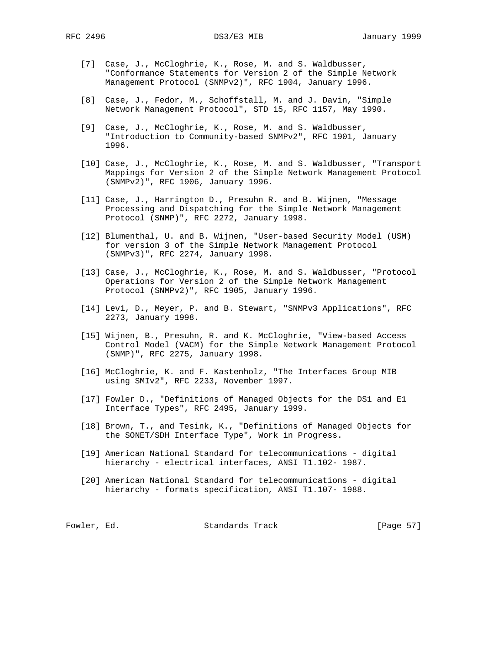- [7] Case, J., McCloghrie, K., Rose, M. and S. Waldbusser, "Conformance Statements for Version 2 of the Simple Network Management Protocol (SNMPv2)", RFC 1904, January 1996.
- [8] Case, J., Fedor, M., Schoffstall, M. and J. Davin, "Simple Network Management Protocol", STD 15, RFC 1157, May 1990.
- [9] Case, J., McCloghrie, K., Rose, M. and S. Waldbusser, "Introduction to Community-based SNMPv2", RFC 1901, January 1996.
- [10] Case, J., McCloghrie, K., Rose, M. and S. Waldbusser, "Transport Mappings for Version 2 of the Simple Network Management Protocol (SNMPv2)", RFC 1906, January 1996.
- [11] Case, J., Harrington D., Presuhn R. and B. Wijnen, "Message Processing and Dispatching for the Simple Network Management Protocol (SNMP)", RFC 2272, January 1998.
- [12] Blumenthal, U. and B. Wijnen, "User-based Security Model (USM) for version 3 of the Simple Network Management Protocol (SNMPv3)", RFC 2274, January 1998.
- [13] Case, J., McCloghrie, K., Rose, M. and S. Waldbusser, "Protocol Operations for Version 2 of the Simple Network Management Protocol (SNMPv2)", RFC 1905, January 1996.
- [14] Levi, D., Meyer, P. and B. Stewart, "SNMPv3 Applications", RFC 2273, January 1998.
- [15] Wijnen, B., Presuhn, R. and K. McCloghrie, "View-based Access Control Model (VACM) for the Simple Network Management Protocol (SNMP)", RFC 2275, January 1998.
- [16] McCloghrie, K. and F. Kastenholz, "The Interfaces Group MIB using SMIv2", RFC 2233, November 1997.
- [17] Fowler D., "Definitions of Managed Objects for the DS1 and E1 Interface Types", RFC 2495, January 1999.
- [18] Brown, T., and Tesink, K., "Definitions of Managed Objects for the SONET/SDH Interface Type", Work in Progress.
- [19] American National Standard for telecommunications digital hierarchy - electrical interfaces, ANSI T1.102- 1987.
- [20] American National Standard for telecommunications digital hierarchy - formats specification, ANSI T1.107- 1988.

Fowler, Ed. Standards Track [Page 57]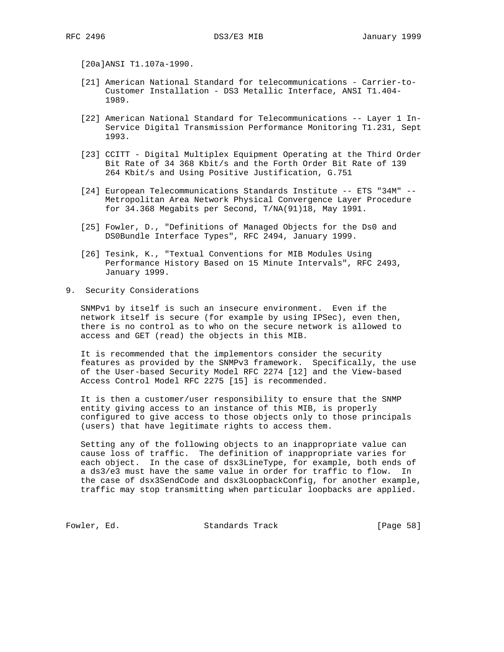[20a]ANSI T1.107a-1990.

- [21] American National Standard for telecommunications Carrier-to- Customer Installation - DS3 Metallic Interface, ANSI T1.404- 1989.
- [22] American National Standard for Telecommunications -- Layer 1 In- Service Digital Transmission Performance Monitoring T1.231, Sept 1993.
- [23] CCITT Digital Multiplex Equipment Operating at the Third Order Bit Rate of 34 368 Kbit/s and the Forth Order Bit Rate of 139 264 Kbit/s and Using Positive Justification, G.751
- [24] European Telecommunications Standards Institute -- ETS "34M" -- Metropolitan Area Network Physical Convergence Layer Procedure for 34.368 Megabits per Second, T/NA(91)18, May 1991.
- [25] Fowler, D., "Definitions of Managed Objects for the Ds0 and DS0Bundle Interface Types", RFC 2494, January 1999.
- [26] Tesink, K., "Textual Conventions for MIB Modules Using Performance History Based on 15 Minute Intervals", RFC 2493, January 1999.
- 9. Security Considerations

 SNMPv1 by itself is such an insecure environment. Even if the network itself is secure (for example by using IPSec), even then, there is no control as to who on the secure network is allowed to access and GET (read) the objects in this MIB.

 It is recommended that the implementors consider the security features as provided by the SNMPv3 framework. Specifically, the use of the User-based Security Model RFC 2274 [12] and the View-based Access Control Model RFC 2275 [15] is recommended.

 It is then a customer/user responsibility to ensure that the SNMP entity giving access to an instance of this MIB, is properly configured to give access to those objects only to those principals (users) that have legitimate rights to access them.

 Setting any of the following objects to an inappropriate value can cause loss of traffic. The definition of inappropriate varies for each object. In the case of dsx3LineType, for example, both ends of a ds3/e3 must have the same value in order for traffic to flow. In the case of dsx3SendCode and dsx3LoopbackConfig, for another example, traffic may stop transmitting when particular loopbacks are applied.

Fowler, Ed. Standards Track [Page 58]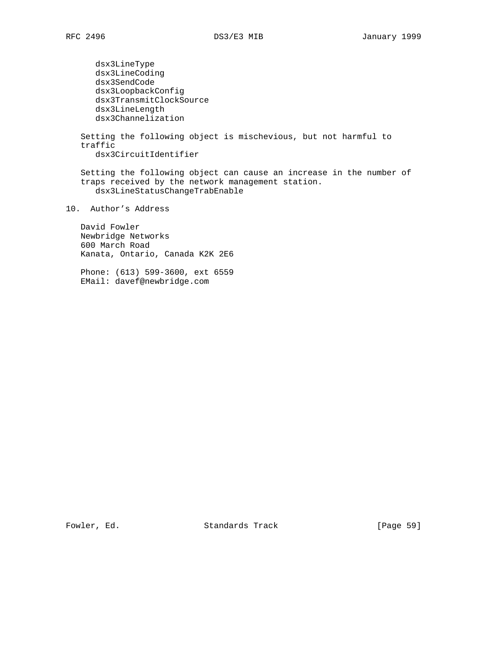dsx3LineType dsx3LineCoding dsx3SendCode dsx3LoopbackConfig dsx3TransmitClockSource dsx3LineLength dsx3Channelization Setting the following object is mischevious, but not harmful to traffic dsx3CircuitIdentifier Setting the following object can cause an increase in the number of traps received by the network management station. dsx3LineStatusChangeTrabEnable 10. Author's Address David Fowler Newbridge Networks 600 March Road Kanata, Ontario, Canada K2K 2E6

 Phone: (613) 599-3600, ext 6559 EMail: davef@newbridge.com

Fowler, Ed. Standards Track [Page 59]